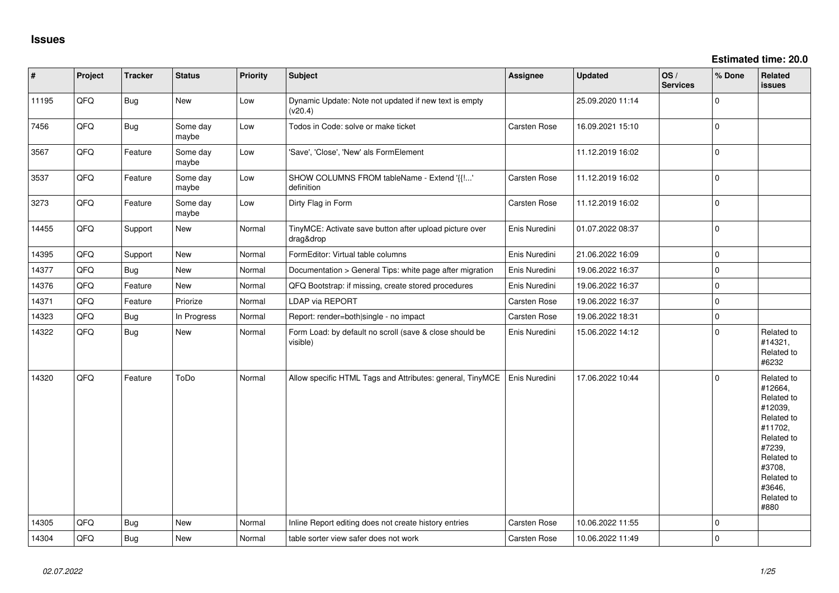| $\vert$ # | Project | <b>Tracker</b> | <b>Status</b>     | <b>Priority</b> | <b>Subject</b>                                                       | Assignee            | <b>Updated</b>   | OS/<br><b>Services</b> | % Done      | Related<br>issues                                                                                                                                                     |
|-----------|---------|----------------|-------------------|-----------------|----------------------------------------------------------------------|---------------------|------------------|------------------------|-------------|-----------------------------------------------------------------------------------------------------------------------------------------------------------------------|
| 11195     | QFQ     | <b>Bug</b>     | New               | Low             | Dynamic Update: Note not updated if new text is empty<br>(v20.4)     |                     | 25.09.2020 11:14 |                        | $\Omega$    |                                                                                                                                                                       |
| 7456      | QFQ     | <b>Bug</b>     | Some day<br>maybe | Low             | Todos in Code: solve or make ticket                                  | <b>Carsten Rose</b> | 16.09.2021 15:10 |                        | l 0         |                                                                                                                                                                       |
| 3567      | QFQ     | Feature        | Some day<br>maybe | Low             | 'Save', 'Close', 'New' als FormElement                               |                     | 11.12.2019 16:02 |                        | I٥          |                                                                                                                                                                       |
| 3537      | QFQ     | Feature        | Some day<br>maybe | Low             | SHOW COLUMNS FROM tableName - Extend '{{!'<br>definition             | <b>Carsten Rose</b> | 11.12.2019 16:02 |                        | l 0         |                                                                                                                                                                       |
| 3273      | QFQ     | Feature        | Some day<br>maybe | Low             | Dirty Flag in Form                                                   | <b>Carsten Rose</b> | 11.12.2019 16:02 |                        | l 0         |                                                                                                                                                                       |
| 14455     | QFQ     | Support        | New               | Normal          | TinyMCE: Activate save button after upload picture over<br>drag&drop | Enis Nuredini       | 01.07.2022 08:37 |                        | l 0         |                                                                                                                                                                       |
| 14395     | QFQ     | Support        | <b>New</b>        | Normal          | FormEditor: Virtual table columns                                    | Enis Nuredini       | 21.06.2022 16:09 |                        | l O         |                                                                                                                                                                       |
| 14377     | QFQ     | Bug            | <b>New</b>        | Normal          | Documentation > General Tips: white page after migration             | Enis Nuredini       | 19.06.2022 16:37 |                        | l 0         |                                                                                                                                                                       |
| 14376     | QFQ     | Feature        | New               | Normal          | QFQ Bootstrap: if missing, create stored procedures                  | Enis Nuredini       | 19.06.2022 16:37 |                        | $\mathbf 0$ |                                                                                                                                                                       |
| 14371     | QFQ     | Feature        | Priorize          | Normal          | LDAP via REPORT                                                      | Carsten Rose        | 19.06.2022 16:37 |                        | $\Omega$    |                                                                                                                                                                       |
| 14323     | QFQ     | Bug            | In Progress       | Normal          | Report: render=both single - no impact                               | Carsten Rose        | 19.06.2022 18:31 |                        | $\mathbf 0$ |                                                                                                                                                                       |
| 14322     | QFQ     | <b>Bug</b>     | New               | Normal          | Form Load: by default no scroll (save & close should be<br>visible)  | Enis Nuredini       | 15.06.2022 14:12 |                        | $\Omega$    | Related to<br>#14321,<br>Related to<br>#6232                                                                                                                          |
| 14320     | QFQ     | Feature        | ToDo              | Normal          | Allow specific HTML Tags and Attributes: general, TinyMCE            | Enis Nuredini       | 17.06.2022 10:44 |                        | $\Omega$    | Related to<br>#12664,<br>Related to<br>#12039,<br>Related to<br>#11702,<br>Related to<br>#7239,<br>Related to<br>#3708,<br>Related to<br>#3646,<br>Related to<br>#880 |
| 14305     | QFQ     | <b>Bug</b>     | <b>New</b>        | Normal          | Inline Report editing does not create history entries                | Carsten Rose        | 10.06.2022 11:55 |                        | $\Omega$    |                                                                                                                                                                       |
| 14304     | QFQ     | <b>Bug</b>     | New               | Normal          | table sorter view safer does not work                                | <b>Carsten Rose</b> | 10.06.2022 11:49 |                        | ١o          |                                                                                                                                                                       |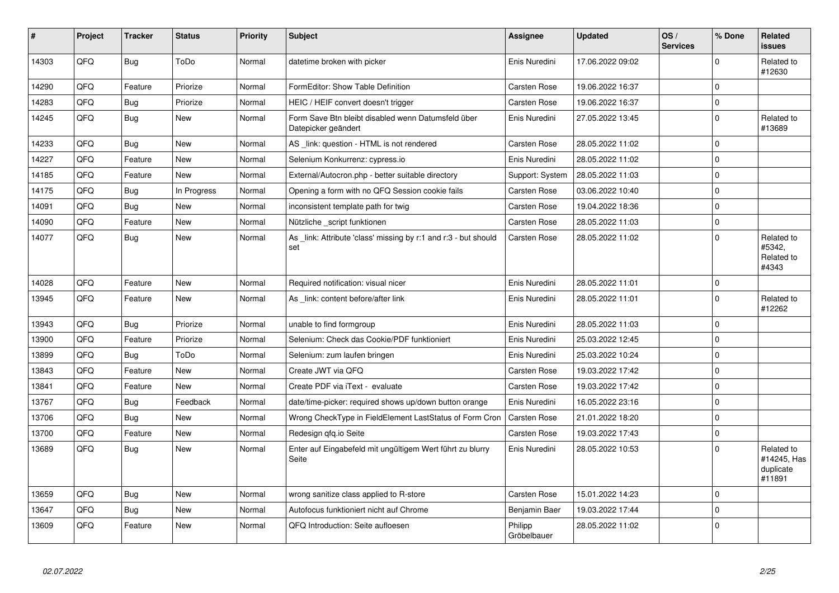| #     | Project | <b>Tracker</b> | <b>Status</b> | <b>Priority</b> | <b>Subject</b>                                                            | <b>Assignee</b>        | <b>Updated</b>   | OS/<br><b>Services</b> | % Done         | Related<br>issues                                |
|-------|---------|----------------|---------------|-----------------|---------------------------------------------------------------------------|------------------------|------------------|------------------------|----------------|--------------------------------------------------|
| 14303 | QFQ     | Bug            | ToDo          | Normal          | datetime broken with picker                                               | Enis Nuredini          | 17.06.2022 09:02 |                        | $\Omega$       | Related to<br>#12630                             |
| 14290 | QFQ     | Feature        | Priorize      | Normal          | FormEditor: Show Table Definition                                         | Carsten Rose           | 19.06.2022 16:37 |                        | $\Omega$       |                                                  |
| 14283 | QFQ     | <b>Bug</b>     | Priorize      | Normal          | HEIC / HEIF convert doesn't trigger                                       | <b>Carsten Rose</b>    | 19.06.2022 16:37 |                        | $\Omega$       |                                                  |
| 14245 | QFQ     | <b>Bug</b>     | New           | Normal          | Form Save Btn bleibt disabled wenn Datumsfeld über<br>Datepicker geändert | Enis Nuredini          | 27.05.2022 13:45 |                        | $\Omega$       | Related to<br>#13689                             |
| 14233 | QFQ     | <b>Bug</b>     | <b>New</b>    | Normal          | AS _link: question - HTML is not rendered                                 | <b>Carsten Rose</b>    | 28.05.2022 11:02 |                        | $\overline{0}$ |                                                  |
| 14227 | QFQ     | Feature        | <b>New</b>    | Normal          | Selenium Konkurrenz: cypress.io                                           | Enis Nuredini          | 28.05.2022 11:02 |                        | $\Omega$       |                                                  |
| 14185 | QFQ     | Feature        | <b>New</b>    | Normal          | External/Autocron.php - better suitable directory                         | Support: System        | 28.05.2022 11:03 |                        | $\Omega$       |                                                  |
| 14175 | QFQ     | <b>Bug</b>     | In Progress   | Normal          | Opening a form with no QFQ Session cookie fails                           | Carsten Rose           | 03.06.2022 10:40 |                        | $\Omega$       |                                                  |
| 14091 | QFQ     | <b>Bug</b>     | New           | Normal          | inconsistent template path for twig                                       | Carsten Rose           | 19.04.2022 18:36 |                        | $\Omega$       |                                                  |
| 14090 | QFQ     | Feature        | <b>New</b>    | Normal          | Nützliche script funktionen                                               | Carsten Rose           | 28.05.2022 11:03 |                        | $\Omega$       |                                                  |
| 14077 | QFQ     | <b>Bug</b>     | New           | Normal          | As _link: Attribute 'class' missing by r:1 and r:3 - but should<br>set    | Carsten Rose           | 28.05.2022 11:02 |                        | $\Omega$       | Related to<br>#5342,<br>Related to<br>#4343      |
| 14028 | QFQ     | Feature        | <b>New</b>    | Normal          | Required notification: visual nicer                                       | Enis Nuredini          | 28.05.2022 11:01 |                        | $\mathbf 0$    |                                                  |
| 13945 | QFQ     | Feature        | <b>New</b>    | Normal          | As _link: content before/after link                                       | Enis Nuredini          | 28.05.2022 11:01 |                        | $\Omega$       | Related to<br>#12262                             |
| 13943 | QFQ     | Bug            | Priorize      | Normal          | unable to find formgroup                                                  | Enis Nuredini          | 28.05.2022 11:03 |                        | $\Omega$       |                                                  |
| 13900 | QFQ     | Feature        | Priorize      | Normal          | Selenium: Check das Cookie/PDF funktioniert                               | Enis Nuredini          | 25.03.2022 12:45 |                        | $\overline{0}$ |                                                  |
| 13899 | QFQ     | <b>Bug</b>     | ToDo          | Normal          | Selenium: zum laufen bringen                                              | Enis Nuredini          | 25.03.2022 10:24 |                        | $\mathbf 0$    |                                                  |
| 13843 | QFQ     | Feature        | <b>New</b>    | Normal          | Create JWT via QFQ                                                        | Carsten Rose           | 19.03.2022 17:42 |                        | $\overline{0}$ |                                                  |
| 13841 | QFQ     | Feature        | New           | Normal          | Create PDF via iText - evaluate                                           | <b>Carsten Rose</b>    | 19.03.2022 17:42 |                        | $\mathbf 0$    |                                                  |
| 13767 | QFQ     | <b>Bug</b>     | Feedback      | Normal          | date/time-picker: required shows up/down button orange                    | Enis Nuredini          | 16.05.2022 23:16 |                        | $\Omega$       |                                                  |
| 13706 | QFQ     | <b>Bug</b>     | <b>New</b>    | Normal          | Wrong CheckType in FieldElement LastStatus of Form Cron                   | <b>Carsten Rose</b>    | 21.01.2022 18:20 |                        | $\Omega$       |                                                  |
| 13700 | QFQ     | Feature        | New           | Normal          | Redesign gfg.io Seite                                                     | Carsten Rose           | 19.03.2022 17:43 |                        | $\Omega$       |                                                  |
| 13689 | QFQ     | <b>Bug</b>     | New           | Normal          | Enter auf Eingabefeld mit ungültigem Wert führt zu blurry<br>Seite        | Enis Nuredini          | 28.05.2022 10:53 |                        | $\Omega$       | Related to<br>#14245, Has<br>duplicate<br>#11891 |
| 13659 | QFQ     | <b>Bug</b>     | <b>New</b>    | Normal          | wrong sanitize class applied to R-store                                   | Carsten Rose           | 15.01.2022 14:23 |                        | $\overline{0}$ |                                                  |
| 13647 | QFQ     | Bug            | <b>New</b>    | Normal          | Autofocus funktioniert nicht auf Chrome                                   | Benjamin Baer          | 19.03.2022 17:44 |                        | $\mathbf 0$    |                                                  |
| 13609 | QFQ     | Feature        | <b>New</b>    | Normal          | QFQ Introduction: Seite aufloesen                                         | Philipp<br>Gröbelbauer | 28.05.2022 11:02 |                        | $\overline{0}$ |                                                  |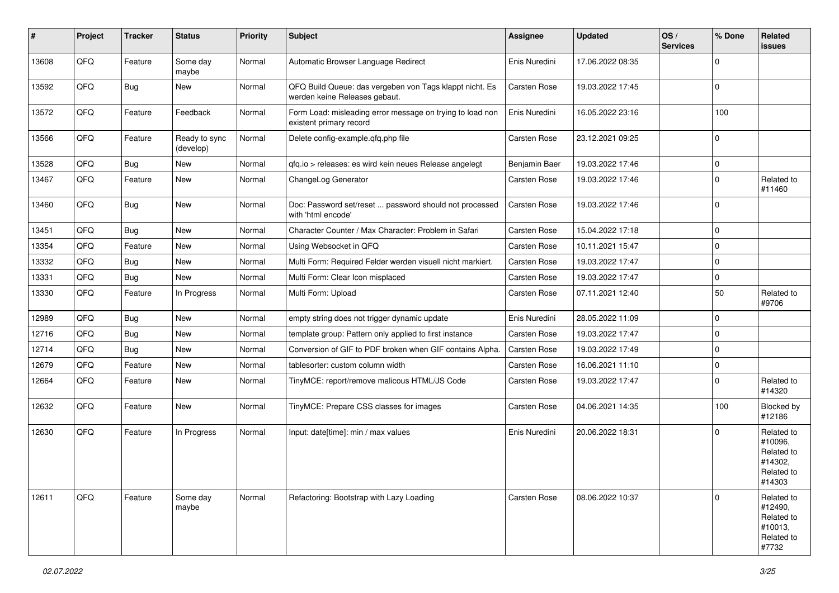| ∦     | Project | <b>Tracker</b> | <b>Status</b>              | <b>Priority</b> | Subject                                                                                  | <b>Assignee</b> | <b>Updated</b>   | OS/<br><b>Services</b> | % Done      | Related<br>issues                                                      |
|-------|---------|----------------|----------------------------|-----------------|------------------------------------------------------------------------------------------|-----------------|------------------|------------------------|-------------|------------------------------------------------------------------------|
| 13608 | QFQ     | Feature        | Some day<br>maybe          | Normal          | Automatic Browser Language Redirect                                                      | Enis Nuredini   | 17.06.2022 08:35 |                        | $\Omega$    |                                                                        |
| 13592 | QFQ     | <b>Bug</b>     | New                        | Normal          | QFQ Build Queue: das vergeben von Tags klappt nicht. Es<br>werden keine Releases gebaut. | Carsten Rose    | 19.03.2022 17:45 |                        | $\mathbf 0$ |                                                                        |
| 13572 | QFQ     | Feature        | Feedback                   | Normal          | Form Load: misleading error message on trying to load non<br>existent primary record     | Enis Nuredini   | 16.05.2022 23:16 |                        | 100         |                                                                        |
| 13566 | QFQ     | Feature        | Ready to sync<br>(develop) | Normal          | Delete config-example.qfq.php file                                                       | Carsten Rose    | 23.12.2021 09:25 |                        | $\mathbf 0$ |                                                                        |
| 13528 | QFQ     | Bug            | New                        | Normal          | qfq.io > releases: es wird kein neues Release angelegt                                   | Benjamin Baer   | 19.03.2022 17:46 |                        | $\mathbf 0$ |                                                                        |
| 13467 | QFQ     | Feature        | New                        | Normal          | ChangeLog Generator                                                                      | Carsten Rose    | 19.03.2022 17:46 |                        | $\Omega$    | Related to<br>#11460                                                   |
| 13460 | QFQ     | Bug            | <b>New</b>                 | Normal          | Doc: Password set/reset  password should not processed<br>with 'html encode'             | Carsten Rose    | 19.03.2022 17:46 |                        | $\Omega$    |                                                                        |
| 13451 | QFQ     | Bug            | New                        | Normal          | Character Counter / Max Character: Problem in Safari                                     | Carsten Rose    | 15.04.2022 17:18 |                        | $\Omega$    |                                                                        |
| 13354 | QFQ     | Feature        | New                        | Normal          | Using Websocket in QFQ                                                                   | Carsten Rose    | 10.11.2021 15:47 |                        | $\mathbf 0$ |                                                                        |
| 13332 | QFQ     | <b>Bug</b>     | New                        | Normal          | Multi Form: Required Felder werden visuell nicht markiert.                               | Carsten Rose    | 19.03.2022 17:47 |                        | $\Omega$    |                                                                        |
| 13331 | QFQ     | <b>Bug</b>     | New                        | Normal          | Multi Form: Clear Icon misplaced                                                         | Carsten Rose    | 19.03.2022 17:47 |                        | $\mathbf 0$ |                                                                        |
| 13330 | QFQ     | Feature        | In Progress                | Normal          | Multi Form: Upload                                                                       | Carsten Rose    | 07.11.2021 12:40 |                        | 50          | Related to<br>#9706                                                    |
| 12989 | QFQ     | Bug            | <b>New</b>                 | Normal          | empty string does not trigger dynamic update                                             | Enis Nuredini   | 28.05.2022 11:09 |                        | $\mathbf 0$ |                                                                        |
| 12716 | QFQ     | <b>Bug</b>     | New                        | Normal          | template group: Pattern only applied to first instance                                   | Carsten Rose    | 19.03.2022 17:47 |                        | $\mathbf 0$ |                                                                        |
| 12714 | QFQ     | <b>Bug</b>     | <b>New</b>                 | Normal          | Conversion of GIF to PDF broken when GIF contains Alpha.                                 | Carsten Rose    | 19.03.2022 17:49 |                        | $\mathbf 0$ |                                                                        |
| 12679 | QFQ     | Feature        | <b>New</b>                 | Normal          | tablesorter: custom column width                                                         | Carsten Rose    | 16.06.2021 11:10 |                        | $\mathbf 0$ |                                                                        |
| 12664 | QFQ     | Feature        | New                        | Normal          | TinyMCE: report/remove malicous HTML/JS Code                                             | Carsten Rose    | 19.03.2022 17:47 |                        | $\Omega$    | Related to<br>#14320                                                   |
| 12632 | QFQ     | Feature        | New                        | Normal          | TinyMCE: Prepare CSS classes for images                                                  | Carsten Rose    | 04.06.2021 14:35 |                        | 100         | Blocked by<br>#12186                                                   |
| 12630 | QFQ     | Feature        | In Progress                | Normal          | Input: date[time]: min / max values                                                      | Enis Nuredini   | 20.06.2022 18:31 |                        | $\Omega$    | Related to<br>#10096,<br>Related to<br>#14302,<br>Related to<br>#14303 |
| 12611 | QFQ     | Feature        | Some day<br>maybe          | Normal          | Refactoring: Bootstrap with Lazy Loading                                                 | Carsten Rose    | 08.06.2022 10:37 |                        | $\Omega$    | Related to<br>#12490,<br>Related to<br>#10013,<br>Related to<br>#7732  |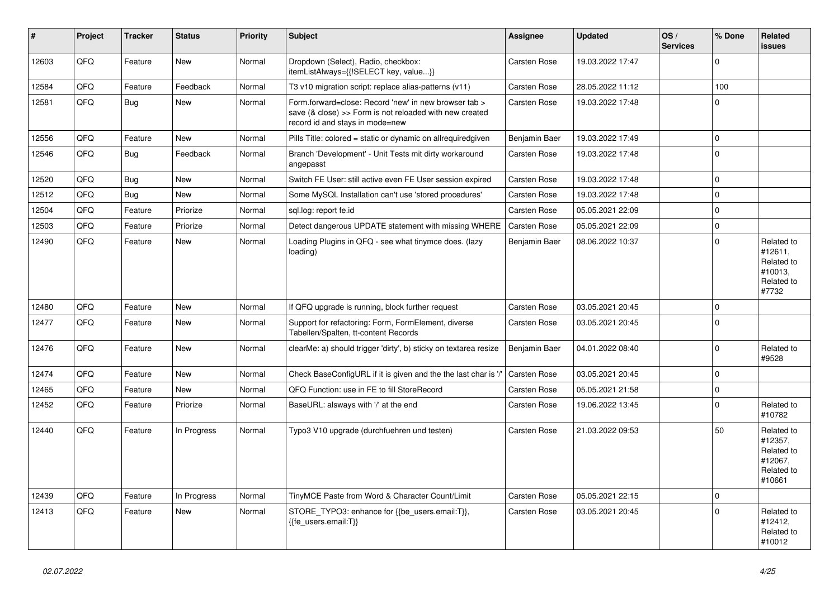| #     | Project | <b>Tracker</b> | <b>Status</b> | <b>Priority</b> | <b>Subject</b>                                                                                                                                                | Assignee            | <b>Updated</b>   | OS/<br><b>Services</b> | % Done         | Related<br><b>issues</b>                                               |
|-------|---------|----------------|---------------|-----------------|---------------------------------------------------------------------------------------------------------------------------------------------------------------|---------------------|------------------|------------------------|----------------|------------------------------------------------------------------------|
| 12603 | QFQ     | Feature        | New           | Normal          | Dropdown (Select), Radio, checkbox:<br>itemListAlways={{!SELECT key, value}}                                                                                  | <b>Carsten Rose</b> | 19.03.2022 17:47 |                        | $\Omega$       |                                                                        |
| 12584 | QFQ     | Feature        | Feedback      | Normal          | T3 v10 migration script: replace alias-patterns (v11)                                                                                                         | <b>Carsten Rose</b> | 28.05.2022 11:12 |                        | 100            |                                                                        |
| 12581 | QFQ     | <b>Bug</b>     | New           | Normal          | Form.forward=close: Record 'new' in new browser tab ><br>save $(8 \text{ close}) >>$ Form is not reloaded with new created<br>record id and stays in mode=new | <b>Carsten Rose</b> | 19.03.2022 17:48 |                        | $\Omega$       |                                                                        |
| 12556 | QFQ     | Feature        | <b>New</b>    | Normal          | Pills Title: colored = static or dynamic on allrequiredgiven                                                                                                  | Benjamin Baer       | 19.03.2022 17:49 |                        | 0              |                                                                        |
| 12546 | QFQ.    | Bug            | Feedback      | Normal          | Branch 'Development' - Unit Tests mit dirty workaround<br>angepasst                                                                                           | <b>Carsten Rose</b> | 19.03.2022 17:48 |                        | $\Omega$       |                                                                        |
| 12520 | QFQ     | Bug            | <b>New</b>    | Normal          | Switch FE User: still active even FE User session expired                                                                                                     | <b>Carsten Rose</b> | 19.03.2022 17:48 |                        | $\Omega$       |                                                                        |
| 12512 | QFQ     | Bug            | New           | Normal          | Some MySQL Installation can't use 'stored procedures'                                                                                                         | <b>Carsten Rose</b> | 19.03.2022 17:48 |                        | $\Omega$       |                                                                        |
| 12504 | QFQ     | Feature        | Priorize      | Normal          | sql.log: report fe.id                                                                                                                                         | Carsten Rose        | 05.05.2021 22:09 |                        | $\Omega$       |                                                                        |
| 12503 | QFQ     | Feature        | Priorize      | Normal          | Detect dangerous UPDATE statement with missing WHERE                                                                                                          | <b>Carsten Rose</b> | 05.05.2021 22:09 |                        | $\mathbf 0$    |                                                                        |
| 12490 | QFQ     | Feature        | New           | Normal          | Loading Plugins in QFQ - see what tinymce does. (lazy<br>loading)                                                                                             | Benjamin Baer       | 08.06.2022 10:37 |                        | $\Omega$       | Related to<br>#12611,<br>Related to<br>#10013,<br>Related to<br>#7732  |
| 12480 | QFQ     | Feature        | New           | Normal          | If QFQ upgrade is running, block further request                                                                                                              | Carsten Rose        | 03.05.2021 20:45 |                        | $\Omega$       |                                                                        |
| 12477 | QFQ     | Feature        | <b>New</b>    | Normal          | Support for refactoring: Form, FormElement, diverse<br>Tabellen/Spalten, tt-content Records                                                                   | Carsten Rose        | 03.05.2021 20:45 |                        | $\Omega$       |                                                                        |
| 12476 | QFQ     | Feature        | <b>New</b>    | Normal          | clearMe: a) should trigger 'dirty', b) sticky on textarea resize                                                                                              | Benjamin Baer       | 04.01.2022 08:40 |                        | $\Omega$       | Related to<br>#9528                                                    |
| 12474 | QFQ     | Feature        | New           | Normal          | Check BaseConfigURL if it is given and the the last char is '/                                                                                                | <b>Carsten Rose</b> | 03.05.2021 20:45 |                        | $\overline{0}$ |                                                                        |
| 12465 | QFQ     | Feature        | New           | Normal          | QFQ Function: use in FE to fill StoreRecord                                                                                                                   | Carsten Rose        | 05.05.2021 21:58 |                        | $\Omega$       |                                                                        |
| 12452 | QFQ     | Feature        | Priorize      | Normal          | BaseURL: alsways with '/' at the end                                                                                                                          | Carsten Rose        | 19.06.2022 13:45 |                        | $\Omega$       | Related to<br>#10782                                                   |
| 12440 | QFQ     | Feature        | In Progress   | Normal          | Typo3 V10 upgrade (durchfuehren und testen)                                                                                                                   | Carsten Rose        | 21.03.2022 09:53 |                        | 50             | Related to<br>#12357,<br>Related to<br>#12067.<br>Related to<br>#10661 |
| 12439 | QFQ     | Feature        | In Progress   | Normal          | TinyMCE Paste from Word & Character Count/Limit                                                                                                               | Carsten Rose        | 05.05.2021 22:15 |                        | $\mathbf 0$    |                                                                        |
| 12413 | QFQ     | Feature        | New           | Normal          | STORE_TYPO3: enhance for {{be_users.email:T}},<br>{{fe users.email:T}}                                                                                        | <b>Carsten Rose</b> | 03.05.2021 20:45 |                        | $\Omega$       | Related to<br>#12412,<br>Related to<br>#10012                          |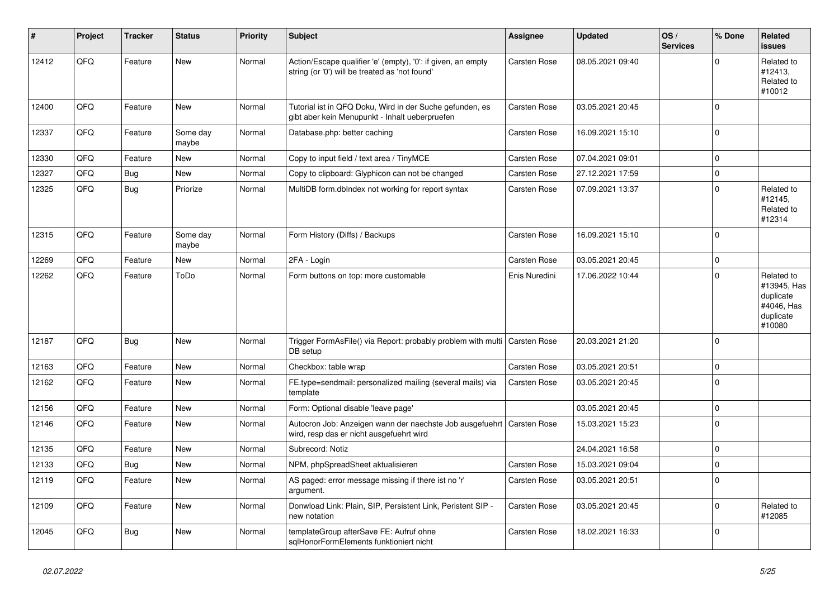| #     | Project | <b>Tracker</b> | <b>Status</b>     | <b>Priority</b> | <b>Subject</b>                                                                                                 | Assignee            | <b>Updated</b>   | OS/<br><b>Services</b> | % Done      | Related<br><b>issues</b>                                                    |
|-------|---------|----------------|-------------------|-----------------|----------------------------------------------------------------------------------------------------------------|---------------------|------------------|------------------------|-------------|-----------------------------------------------------------------------------|
| 12412 | QFQ     | Feature        | <b>New</b>        | Normal          | Action/Escape qualifier 'e' (empty), '0': if given, an empty<br>string (or '0') will be treated as 'not found' | Carsten Rose        | 08.05.2021 09:40 |                        | $\Omega$    | Related to<br>#12413,<br>Related to<br>#10012                               |
| 12400 | QFQ     | Feature        | <b>New</b>        | Normal          | Tutorial ist in QFQ Doku, Wird in der Suche gefunden, es<br>gibt aber kein Menupunkt - Inhalt ueberpruefen     | Carsten Rose        | 03.05.2021 20:45 |                        | $\Omega$    |                                                                             |
| 12337 | QFQ     | Feature        | Some day<br>maybe | Normal          | Database.php: better caching                                                                                   | Carsten Rose        | 16.09.2021 15:10 |                        | $\Omega$    |                                                                             |
| 12330 | QFQ     | Feature        | <b>New</b>        | Normal          | Copy to input field / text area / TinyMCE                                                                      | <b>Carsten Rose</b> | 07.04.2021 09:01 |                        | $\Omega$    |                                                                             |
| 12327 | QFQ     | <b>Bug</b>     | <b>New</b>        | Normal          | Copy to clipboard: Glyphicon can not be changed                                                                | Carsten Rose        | 27.12.2021 17:59 |                        | $\mathbf 0$ |                                                                             |
| 12325 | QFQ     | <b>Bug</b>     | Priorize          | Normal          | MultiDB form.dbIndex not working for report syntax                                                             | Carsten Rose        | 07.09.2021 13:37 |                        | $\Omega$    | Related to<br>#12145.<br>Related to<br>#12314                               |
| 12315 | QFQ     | Feature        | Some day<br>maybe | Normal          | Form History (Diffs) / Backups                                                                                 | Carsten Rose        | 16.09.2021 15:10 |                        | $\Omega$    |                                                                             |
| 12269 | QFQ     | Feature        | <b>New</b>        | Normal          | 2FA - Login                                                                                                    | Carsten Rose        | 03.05.2021 20:45 |                        | $\mathbf 0$ |                                                                             |
| 12262 | QFQ     | Feature        | ToDo              | Normal          | Form buttons on top: more customable                                                                           | Enis Nuredini       | 17.06.2022 10:44 |                        | $\Omega$    | Related to<br>#13945, Has<br>duplicate<br>#4046, Has<br>duplicate<br>#10080 |
| 12187 | QFQ     | Bug            | <b>New</b>        | Normal          | Trigger FormAsFile() via Report: probably problem with multi<br>DB setup                                       | Carsten Rose        | 20.03.2021 21:20 |                        | $\Omega$    |                                                                             |
| 12163 | QFQ     | Feature        | <b>New</b>        | Normal          | Checkbox: table wrap                                                                                           | Carsten Rose        | 03.05.2021 20:51 |                        | $\mathbf 0$ |                                                                             |
| 12162 | QFQ     | Feature        | <b>New</b>        | Normal          | FE.type=sendmail: personalized mailing (several mails) via<br>template                                         | Carsten Rose        | 03.05.2021 20:45 |                        | $\Omega$    |                                                                             |
| 12156 | QFQ     | Feature        | <b>New</b>        | Normal          | Form: Optional disable 'leave page'                                                                            |                     | 03.05.2021 20:45 |                        | $\pmb{0}$   |                                                                             |
| 12146 | QFQ     | Feature        | <b>New</b>        | Normal          | Autocron Job: Anzeigen wann der naechste Job ausgefuehrt<br>wird, resp das er nicht ausgefuehrt wird           | Carsten Rose        | 15.03.2021 15:23 |                        | $\Omega$    |                                                                             |
| 12135 | QFQ     | Feature        | <b>New</b>        | Normal          | Subrecord: Notiz                                                                                               |                     | 24.04.2021 16:58 |                        | $\mathbf 0$ |                                                                             |
| 12133 | QFQ     | <b>Bug</b>     | <b>New</b>        | Normal          | NPM, phpSpreadSheet aktualisieren                                                                              | Carsten Rose        | 15.03.2021 09:04 |                        | $\mathbf 0$ |                                                                             |
| 12119 | QFQ     | Feature        | <b>New</b>        | Normal          | AS paged: error message missing if there ist no 'r'<br>argument.                                               | Carsten Rose        | 03.05.2021 20:51 |                        | $\mathbf 0$ |                                                                             |
| 12109 | QFQ     | Feature        | <b>New</b>        | Normal          | Donwload Link: Plain, SIP, Persistent Link, Peristent SIP -<br>new notation                                    | Carsten Rose        | 03.05.2021 20:45 |                        | $\Omega$    | Related to<br>#12085                                                        |
| 12045 | QFQ     | Bug            | <b>New</b>        | Normal          | templateGroup afterSave FE: Aufruf ohne<br>sglHonorFormElements funktioniert nicht                             | Carsten Rose        | 18.02.2021 16:33 |                        | $\Omega$    |                                                                             |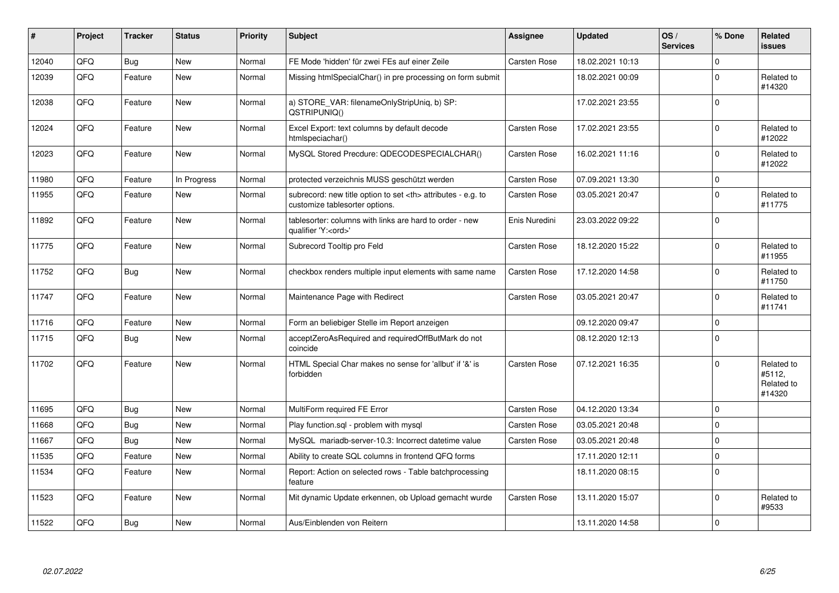| #     | Project | <b>Tracker</b> | <b>Status</b> | <b>Priority</b> | <b>Subject</b>                                                                                       | Assignee                                               | <b>Updated</b>      | OS/<br><b>Services</b> | % Done         | Related<br><b>issues</b>                     |                      |
|-------|---------|----------------|---------------|-----------------|------------------------------------------------------------------------------------------------------|--------------------------------------------------------|---------------------|------------------------|----------------|----------------------------------------------|----------------------|
| 12040 | QFQ     | <b>Bug</b>     | <b>New</b>    | Normal          | FE Mode 'hidden' für zwei FEs auf einer Zeile                                                        | Carsten Rose                                           | 18.02.2021 10:13    |                        | $\Omega$       |                                              |                      |
| 12039 | QFQ     | Feature        | New           | Normal          | Missing htmlSpecialChar() in pre processing on form submit                                           |                                                        | 18.02.2021 00:09    |                        | $\Omega$       | Related to<br>#14320                         |                      |
| 12038 | QFQ     | Feature        | <b>New</b>    | Normal          | a) STORE_VAR: filenameOnlyStripUniq, b) SP:<br>QSTRIPUNIQ()                                          |                                                        | 17.02.2021 23:55    |                        | $\Omega$       |                                              |                      |
| 12024 | QFQ     | Feature        | <b>New</b>    | Normal          | Excel Export: text columns by default decode<br>htmlspeciachar()                                     | <b>Carsten Rose</b>                                    | 17.02.2021 23:55    |                        | $\Omega$       | Related to<br>#12022                         |                      |
| 12023 | QFQ     | Feature        | New           | Normal          | MySQL Stored Precdure: QDECODESPECIALCHAR()                                                          | <b>Carsten Rose</b>                                    | 16.02.2021 11:16    |                        | $\Omega$       | Related to<br>#12022                         |                      |
| 11980 | QFQ     | Feature        | In Progress   | Normal          | protected verzeichnis MUSS geschützt werden                                                          | <b>Carsten Rose</b>                                    | 07.09.2021 13:30    |                        | $\mathbf 0$    |                                              |                      |
| 11955 | QFQ     | Feature        | New           | Normal          | subrecord: new title option to set <th> attributes - e.g. to<br/>customize tablesorter options.</th> | attributes - e.g. to<br>customize tablesorter options. | <b>Carsten Rose</b> | 03.05.2021 20:47       |                | $\Omega$                                     | Related to<br>#11775 |
| 11892 | QFQ     | Feature        | <b>New</b>    | Normal          | tablesorter: columns with links are hard to order - new<br>qualifier 'Y: <ord>'</ord>                | Enis Nuredini                                          | 23.03.2022 09:22    |                        | $\Omega$       |                                              |                      |
| 11775 | QFQ     | Feature        | <b>New</b>    | Normal          | Subrecord Tooltip pro Feld                                                                           | <b>Carsten Rose</b>                                    | 18.12.2020 15:22    |                        | $\Omega$       | Related to<br>#11955                         |                      |
| 11752 | QFQ     | <b>Bug</b>     | New           | Normal          | checkbox renders multiple input elements with same name                                              | Carsten Rose                                           | 17.12.2020 14:58    |                        | $\Omega$       | Related to<br>#11750                         |                      |
| 11747 | QFQ     | Feature        | <b>New</b>    | Normal          | Maintenance Page with Redirect                                                                       | <b>Carsten Rose</b>                                    | 03.05.2021 20:47    |                        | $\Omega$       | Related to<br>#11741                         |                      |
| 11716 | QFQ     | Feature        | New           | Normal          | Form an beliebiger Stelle im Report anzeigen                                                         |                                                        | 09.12.2020 09:47    |                        | $\Omega$       |                                              |                      |
| 11715 | QFQ     | <b>Bug</b>     | <b>New</b>    | Normal          | acceptZeroAsRequired and requiredOffButMark do not<br>coincide                                       |                                                        | 08.12.2020 12:13    |                        | $\Omega$       |                                              |                      |
| 11702 | QFQ     | Feature        | <b>New</b>    | Normal          | HTML Special Char makes no sense for 'allbut' if '&' is<br>forbidden                                 | <b>Carsten Rose</b>                                    | 07.12.2021 16:35    |                        | $\Omega$       | Related to<br>#5112.<br>Related to<br>#14320 |                      |
| 11695 | QFQ     | Bug            | <b>New</b>    | Normal          | MultiForm required FE Error                                                                          | <b>Carsten Rose</b>                                    | 04.12.2020 13:34    |                        | $\mathbf 0$    |                                              |                      |
| 11668 | QFQ     | <b>Bug</b>     | New           | Normal          | Play function.sql - problem with mysql                                                               | <b>Carsten Rose</b>                                    | 03.05.2021 20:48    |                        | $\mathbf 0$    |                                              |                      |
| 11667 | QFQ     | Bug            | New           | Normal          | MySQL mariadb-server-10.3: Incorrect datetime value                                                  | Carsten Rose                                           | 03.05.2021 20:48    |                        | $\Omega$       |                                              |                      |
| 11535 | QFQ     | Feature        | <b>New</b>    | Normal          | Ability to create SQL columns in frontend QFQ forms                                                  |                                                        | 17.11.2020 12:11    |                        | $\Omega$       |                                              |                      |
| 11534 | QFQ     | Feature        | New           | Normal          | Report: Action on selected rows - Table batchprocessing<br>feature                                   |                                                        | 18.11.2020 08:15    |                        | $\Omega$       |                                              |                      |
| 11523 | QFQ     | Feature        | <b>New</b>    | Normal          | Mit dynamic Update erkennen, ob Upload gemacht wurde                                                 | <b>Carsten Rose</b>                                    | 13.11.2020 15:07    |                        | $\mathbf 0$    | Related to<br>#9533                          |                      |
| 11522 | QFQ     | <b>Bug</b>     | New           | Normal          | Aus/Einblenden von Reitern                                                                           |                                                        | 13.11.2020 14:58    |                        | $\overline{0}$ |                                              |                      |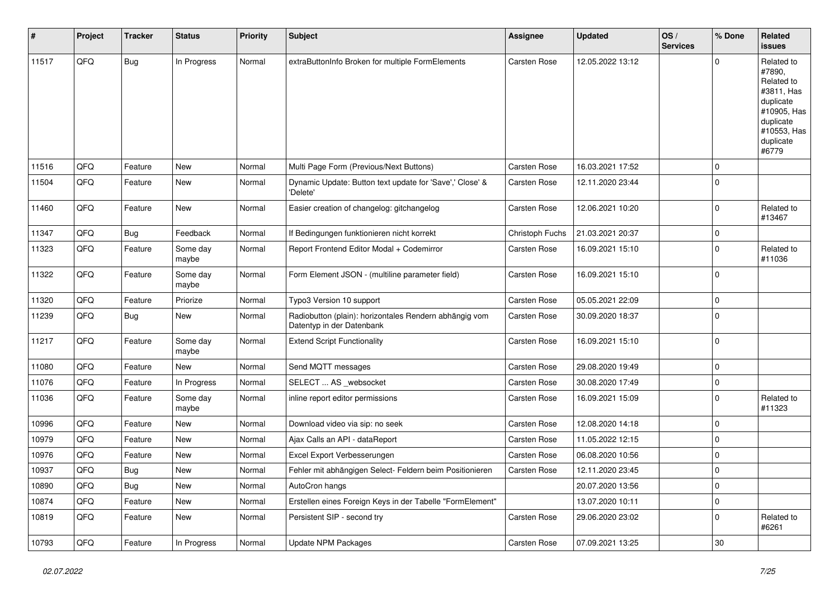| #     | Project | <b>Tracker</b> | <b>Status</b>     | <b>Priority</b> | Subject                                                                             | Assignee            | <b>Updated</b>   | OS/<br><b>Services</b> | % Done      | Related<br>issues                                                                                                              |
|-------|---------|----------------|-------------------|-----------------|-------------------------------------------------------------------------------------|---------------------|------------------|------------------------|-------------|--------------------------------------------------------------------------------------------------------------------------------|
| 11517 | QFQ     | <b>Bug</b>     | In Progress       | Normal          | extraButtonInfo Broken for multiple FormElements                                    | Carsten Rose        | 12.05.2022 13:12 |                        | 0           | Related to<br>#7890,<br>Related to<br>#3811, Has<br>duplicate<br>#10905, Has<br>duplicate<br>#10553, Has<br>duplicate<br>#6779 |
| 11516 | QFQ     | Feature        | New               | Normal          | Multi Page Form (Previous/Next Buttons)                                             | Carsten Rose        | 16.03.2021 17:52 |                        | $\Omega$    |                                                                                                                                |
| 11504 | QFQ     | Feature        | New               | Normal          | Dynamic Update: Button text update for 'Save',' Close' &<br>'Delete'                | Carsten Rose        | 12.11.2020 23:44 |                        | $\mathbf 0$ |                                                                                                                                |
| 11460 | QFQ     | Feature        | New               | Normal          | Easier creation of changelog: gitchangelog                                          | Carsten Rose        | 12.06.2021 10:20 |                        | 0           | Related to<br>#13467                                                                                                           |
| 11347 | QFQ     | Bug            | Feedback          | Normal          | If Bedingungen funktionieren nicht korrekt                                          | Christoph Fuchs     | 21.03.2021 20:37 |                        | $\mathbf 0$ |                                                                                                                                |
| 11323 | QFQ     | Feature        | Some day<br>maybe | Normal          | Report Frontend Editor Modal + Codemirror                                           | Carsten Rose        | 16.09.2021 15:10 |                        | $\Omega$    | Related to<br>#11036                                                                                                           |
| 11322 | QFQ     | Feature        | Some day<br>maybe | Normal          | Form Element JSON - (multiline parameter field)                                     | Carsten Rose        | 16.09.2021 15:10 |                        | $\Omega$    |                                                                                                                                |
| 11320 | QFQ     | Feature        | Priorize          | Normal          | Typo3 Version 10 support                                                            | Carsten Rose        | 05.05.2021 22:09 |                        | $\mathbf 0$ |                                                                                                                                |
| 11239 | QFQ     | <b>Bug</b>     | New               | Normal          | Radiobutton (plain): horizontales Rendern abhängig vom<br>Datentyp in der Datenbank | Carsten Rose        | 30.09.2020 18:37 |                        | $\Omega$    |                                                                                                                                |
| 11217 | QFQ     | Feature        | Some day<br>maybe | Normal          | <b>Extend Script Functionality</b>                                                  | <b>Carsten Rose</b> | 16.09.2021 15:10 |                        | $\mathbf 0$ |                                                                                                                                |
| 11080 | QFQ     | Feature        | New               | Normal          | Send MQTT messages                                                                  | Carsten Rose        | 29.08.2020 19:49 |                        | $\mathbf 0$ |                                                                                                                                |
| 11076 | QFQ     | Feature        | In Progress       | Normal          | SELECT  AS _websocket                                                               | Carsten Rose        | 30.08.2020 17:49 |                        | 0           |                                                                                                                                |
| 11036 | QFQ     | Feature        | Some day<br>maybe | Normal          | inline report editor permissions                                                    | Carsten Rose        | 16.09.2021 15:09 |                        | $\Omega$    | Related to<br>#11323                                                                                                           |
| 10996 | QFQ     | Feature        | New               | Normal          | Download video via sip: no seek                                                     | Carsten Rose        | 12.08.2020 14:18 |                        | $\mathbf 0$ |                                                                                                                                |
| 10979 | QFQ     | Feature        | New               | Normal          | Ajax Calls an API - dataReport                                                      | Carsten Rose        | 11.05.2022 12:15 |                        | $\mathbf 0$ |                                                                                                                                |
| 10976 | QFQ     | Feature        | New               | Normal          | Excel Export Verbesserungen                                                         | Carsten Rose        | 06.08.2020 10:56 |                        | $\mathbf 0$ |                                                                                                                                |
| 10937 | QFQ     | Bug            | New               | Normal          | Fehler mit abhängigen Select- Feldern beim Positionieren                            | <b>Carsten Rose</b> | 12.11.2020 23:45 |                        | $\Omega$    |                                                                                                                                |
| 10890 | QFQ     | Bug            | New               | Normal          | AutoCron hangs                                                                      |                     | 20.07.2020 13:56 |                        | $\mathbf 0$ |                                                                                                                                |
| 10874 | QFQ     | Feature        | New               | Normal          | Erstellen eines Foreign Keys in der Tabelle "FormElement"                           |                     | 13.07.2020 10:11 |                        | 0           |                                                                                                                                |
| 10819 | QFQ     | Feature        | New               | Normal          | Persistent SIP - second try                                                         | Carsten Rose        | 29.06.2020 23:02 |                        | $\mathbf 0$ | Related to<br>#6261                                                                                                            |
| 10793 | QFQ     | Feature        | In Progress       | Normal          | <b>Update NPM Packages</b>                                                          | Carsten Rose        | 07.09.2021 13:25 |                        | $30\,$      |                                                                                                                                |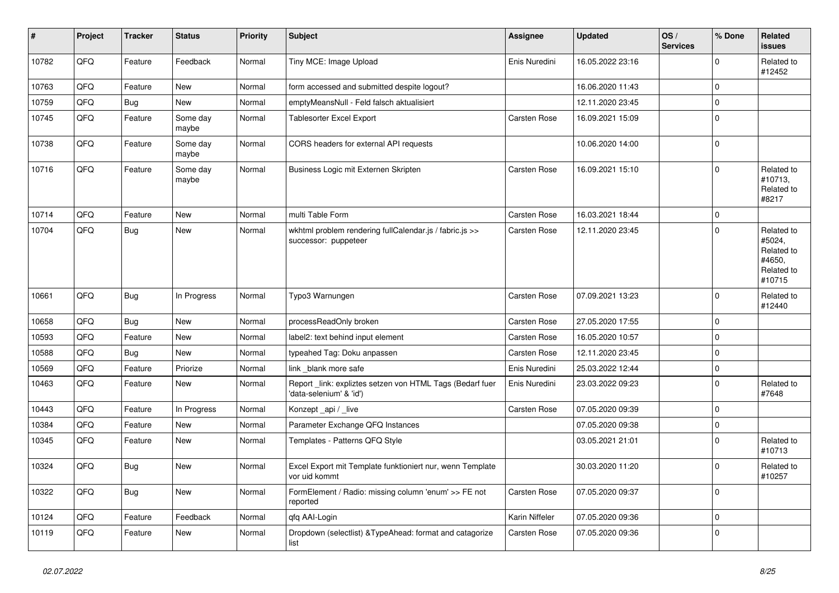| $\vert$ # | Project | <b>Tracker</b> | <b>Status</b>     | <b>Priority</b> | Subject                                                                             | <b>Assignee</b> | Updated          | OS/<br><b>Services</b> | % Done      | Related<br><b>issues</b>                                             |
|-----------|---------|----------------|-------------------|-----------------|-------------------------------------------------------------------------------------|-----------------|------------------|------------------------|-------------|----------------------------------------------------------------------|
| 10782     | QFQ     | Feature        | Feedback          | Normal          | Tiny MCE: Image Upload                                                              | Enis Nuredini   | 16.05.2022 23:16 |                        | $\mathbf 0$ | Related to<br>#12452                                                 |
| 10763     | QFQ     | Feature        | <b>New</b>        | Normal          | form accessed and submitted despite logout?                                         |                 | 16.06.2020 11:43 |                        | $\mathbf 0$ |                                                                      |
| 10759     | QFQ     | Bug            | New               | Normal          | emptyMeansNull - Feld falsch aktualisiert                                           |                 | 12.11.2020 23:45 |                        | $\mathbf 0$ |                                                                      |
| 10745     | QFQ     | Feature        | Some day<br>maybe | Normal          | Tablesorter Excel Export                                                            | Carsten Rose    | 16.09.2021 15:09 |                        | $\mathbf 0$ |                                                                      |
| 10738     | QFQ     | Feature        | Some day<br>maybe | Normal          | CORS headers for external API requests                                              |                 | 10.06.2020 14:00 |                        | $\mathbf 0$ |                                                                      |
| 10716     | QFQ     | Feature        | Some day<br>maybe | Normal          | Business Logic mit Externen Skripten                                                | Carsten Rose    | 16.09.2021 15:10 |                        | $\mathbf 0$ | Related to<br>#10713,<br>Related to<br>#8217                         |
| 10714     | QFQ     | Feature        | <b>New</b>        | Normal          | multi Table Form                                                                    | Carsten Rose    | 16.03.2021 18:44 |                        | $\mathbf 0$ |                                                                      |
| 10704     | QFQ     | Bug            | New               | Normal          | wkhtml problem rendering fullCalendar.js / fabric.js >><br>successor: puppeteer     | Carsten Rose    | 12.11.2020 23:45 |                        | $\mathbf 0$ | Related to<br>#5024,<br>Related to<br>#4650,<br>Related to<br>#10715 |
| 10661     | QFQ     | Bug            | In Progress       | Normal          | Typo3 Warnungen                                                                     | Carsten Rose    | 07.09.2021 13:23 |                        | $\mathbf 0$ | Related to<br>#12440                                                 |
| 10658     | QFQ     | <b>Bug</b>     | New               | Normal          | processReadOnly broken                                                              | Carsten Rose    | 27.05.2020 17:55 |                        | $\mathbf 0$ |                                                                      |
| 10593     | QFQ     | Feature        | <b>New</b>        | Normal          | label2: text behind input element                                                   | Carsten Rose    | 16.05.2020 10:57 |                        | $\mathbf 0$ |                                                                      |
| 10588     | QFQ     | Bug            | New               | Normal          | typeahed Tag: Doku anpassen                                                         | Carsten Rose    | 12.11.2020 23:45 |                        | $\mathbf 0$ |                                                                      |
| 10569     | QFQ     | Feature        | Priorize          | Normal          | link _blank more safe                                                               | Enis Nuredini   | 25.03.2022 12:44 |                        | $\mathbf 0$ |                                                                      |
| 10463     | QFQ     | Feature        | New               | Normal          | Report_link: expliztes setzen von HTML Tags (Bedarf fuer<br>'data-selenium' & 'id') | Enis Nuredini   | 23.03.2022 09:23 |                        | $\mathbf 0$ | Related to<br>#7648                                                  |
| 10443     | QFQ     | Feature        | In Progress       | Normal          | Konzept_api / _live                                                                 | Carsten Rose    | 07.05.2020 09:39 |                        | $\mathbf 0$ |                                                                      |
| 10384     | QFQ     | Feature        | New               | Normal          | Parameter Exchange QFQ Instances                                                    |                 | 07.05.2020 09:38 |                        | $\mathbf 0$ |                                                                      |
| 10345     | QFQ     | Feature        | New               | Normal          | Templates - Patterns QFQ Style                                                      |                 | 03.05.2021 21:01 |                        | $\mathbf 0$ | Related to<br>#10713                                                 |
| 10324     | QFQ     | Bug            | New               | Normal          | Excel Export mit Template funktioniert nur, wenn Template<br>vor uid kommt          |                 | 30.03.2020 11:20 |                        | $\mathbf 0$ | Related to<br>#10257                                                 |
| 10322     | QFQ     | <b>Bug</b>     | New               | Normal          | FormElement / Radio: missing column 'enum' >> FE not<br>reported                    | Carsten Rose    | 07.05.2020 09:37 |                        | $\mathbf 0$ |                                                                      |
| 10124     | QFQ     | Feature        | Feedback          | Normal          | qfq AAI-Login                                                                       | Karin Niffeler  | 07.05.2020 09:36 |                        | $\mathbf 0$ |                                                                      |
| 10119     | QFQ     | Feature        | New               | Normal          | Dropdown (selectlist) & TypeAhead: format and catagorize<br>list                    | Carsten Rose    | 07.05.2020 09:36 |                        | $\mathbf 0$ |                                                                      |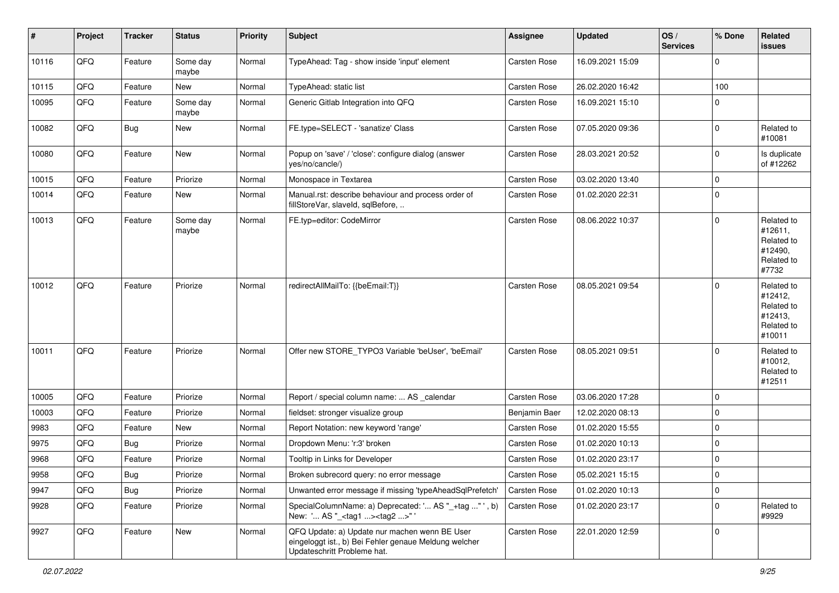| $\sharp$ | Project | <b>Tracker</b> | <b>Status</b>     | <b>Priority</b> | Subject                                                                                                                               | <b>Assignee</b> | <b>Updated</b>   | OS/<br><b>Services</b> | % Done                  | Related<br>issues                                                      |
|----------|---------|----------------|-------------------|-----------------|---------------------------------------------------------------------------------------------------------------------------------------|-----------------|------------------|------------------------|-------------------------|------------------------------------------------------------------------|
| 10116    | QFQ     | Feature        | Some day<br>maybe | Normal          | TypeAhead: Tag - show inside 'input' element                                                                                          | Carsten Rose    | 16.09.2021 15:09 |                        | $\mathbf 0$             |                                                                        |
| 10115    | QFQ     | Feature        | New               | Normal          | TypeAhead: static list                                                                                                                | Carsten Rose    | 26.02.2020 16:42 |                        | 100                     |                                                                        |
| 10095    | QFQ     | Feature        | Some day<br>maybe | Normal          | Generic Gitlab Integration into QFQ                                                                                                   | Carsten Rose    | 16.09.2021 15:10 |                        | $\Omega$                |                                                                        |
| 10082    | QFQ     | <b>Bug</b>     | <b>New</b>        | Normal          | FE.type=SELECT - 'sanatize' Class                                                                                                     | Carsten Rose    | 07.05.2020 09:36 |                        | $\mathbf 0$             | Related to<br>#10081                                                   |
| 10080    | QFQ     | Feature        | New               | Normal          | Popup on 'save' / 'close': configure dialog (answer<br>yes/no/cancle/)                                                                | Carsten Rose    | 28.03.2021 20:52 |                        | $\mathbf 0$             | Is duplicate<br>of #12262                                              |
| 10015    | QFQ     | Feature        | Priorize          | Normal          | Monospace in Textarea                                                                                                                 | Carsten Rose    | 03.02.2020 13:40 |                        | $\mathbf 0$             |                                                                        |
| 10014    | QFQ     | Feature        | New               | Normal          | Manual.rst: describe behaviour and process order of<br>fillStoreVar, slaveId, sqlBefore,                                              | Carsten Rose    | 01.02.2020 22:31 |                        | $\mathbf 0$             |                                                                        |
| 10013    | QFQ     | Feature        | Some day<br>maybe | Normal          | FE.typ=editor: CodeMirror                                                                                                             | Carsten Rose    | 08.06.2022 10:37 |                        | $\Omega$                | Related to<br>#12611,<br>Related to<br>#12490,<br>Related to<br>#7732  |
| 10012    | QFQ     | Feature        | Priorize          | Normal          | redirectAllMailTo: {{beEmail:T}}                                                                                                      | Carsten Rose    | 08.05.2021 09:54 |                        | $\Omega$                | Related to<br>#12412,<br>Related to<br>#12413,<br>Related to<br>#10011 |
| 10011    | QFQ     | Feature        | Priorize          | Normal          | Offer new STORE_TYPO3 Variable 'beUser', 'beEmail'                                                                                    | Carsten Rose    | 08.05.2021 09:51 |                        | $\Omega$                | Related to<br>#10012,<br>Related to<br>#12511                          |
| 10005    | QFQ     | Feature        | Priorize          | Normal          | Report / special column name:  AS _calendar                                                                                           | Carsten Rose    | 03.06.2020 17:28 |                        | $\Omega$                |                                                                        |
| 10003    | QFQ     | Feature        | Priorize          | Normal          | fieldset: stronger visualize group                                                                                                    | Benjamin Baer   | 12.02.2020 08:13 |                        | $\mathbf 0$             |                                                                        |
| 9983     | QFQ     | Feature        | New               | Normal          | Report Notation: new keyword 'range'                                                                                                  | Carsten Rose    | 01.02.2020 15:55 |                        | $\mathbf 0$             |                                                                        |
| 9975     | QFQ     | Bug            | Priorize          | Normal          | Dropdown Menu: 'r:3' broken                                                                                                           | Carsten Rose    | 01.02.2020 10:13 |                        | $\mathbf 0$             |                                                                        |
| 9968     | QFQ     | Feature        | Priorize          | Normal          | Tooltip in Links for Developer                                                                                                        | Carsten Rose    | 01.02.2020 23:17 |                        | $\mathbf 0$             |                                                                        |
| 9958     | QFQ     | <b>Bug</b>     | Priorize          | Normal          | Broken subrecord query: no error message                                                                                              | Carsten Rose    | 05.02.2021 15:15 |                        | $\overline{\mathbf{0}}$ |                                                                        |
| 9947     | QFQ     | <b>Bug</b>     | Priorize          | Normal          | Unwanted error message if missing 'typeAheadSqlPrefetch'                                                                              | Carsten Rose    | 01.02.2020 10:13 |                        | 0                       |                                                                        |
| 9928     | QFQ     | Feature        | Priorize          | Normal          | SpecialColumnName: a) Deprecated: ' AS "_+tag " ', b)<br>New: ' AS "_ <tag1><tag2>"'</tag2></tag1>                                    | Carsten Rose    | 01.02.2020 23:17 |                        | 0                       | Related to<br>#9929                                                    |
| 9927     | QFQ     | Feature        | New               | Normal          | QFQ Update: a) Update nur machen wenn BE User<br>eingeloggt ist., b) Bei Fehler genaue Meldung welcher<br>Updateschritt Probleme hat. | Carsten Rose    | 22.01.2020 12:59 |                        | 0                       |                                                                        |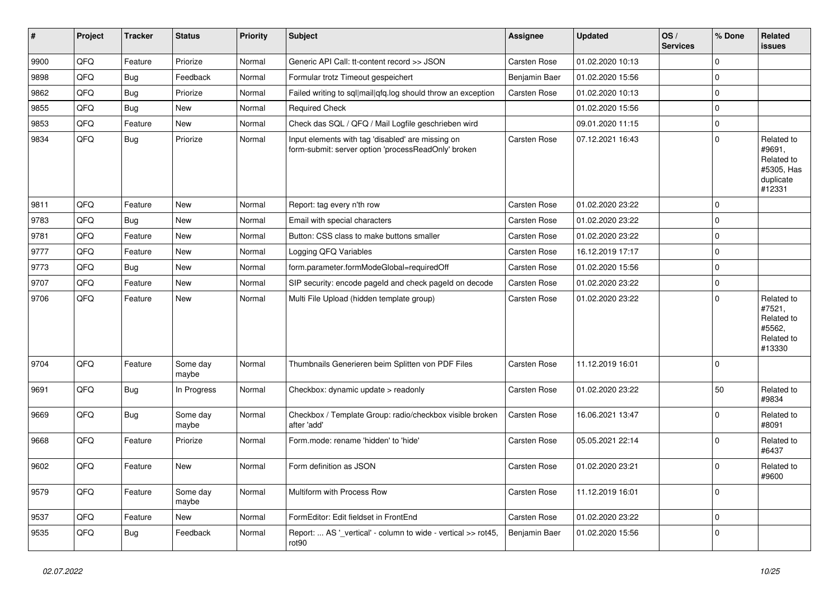| #    | Project | <b>Tracker</b> | <b>Status</b>     | <b>Priority</b> | <b>Subject</b>                                                                                           | Assignee      | Updated          | OS/<br><b>Services</b> | % Done      | Related<br>issues                                                       |
|------|---------|----------------|-------------------|-----------------|----------------------------------------------------------------------------------------------------------|---------------|------------------|------------------------|-------------|-------------------------------------------------------------------------|
| 9900 | QFQ     | Feature        | Priorize          | Normal          | Generic API Call: tt-content record >> JSON                                                              | Carsten Rose  | 01.02.2020 10:13 |                        | $\mathbf 0$ |                                                                         |
| 9898 | QFQ     | <b>Bug</b>     | Feedback          | Normal          | Formular trotz Timeout gespeichert                                                                       | Benjamin Baer | 01.02.2020 15:56 |                        | $\mathbf 0$ |                                                                         |
| 9862 | QFQ     | <b>Bug</b>     | Priorize          | Normal          | Failed writing to sql mail qfq.log should throw an exception                                             | Carsten Rose  | 01.02.2020 10:13 |                        | $\mathbf 0$ |                                                                         |
| 9855 | QFQ     | <b>Bug</b>     | New               | Normal          | <b>Required Check</b>                                                                                    |               | 01.02.2020 15:56 |                        | $\mathbf 0$ |                                                                         |
| 9853 | QFQ     | Feature        | New               | Normal          | Check das SQL / QFQ / Mail Logfile geschrieben wird                                                      |               | 09.01.2020 11:15 |                        | $\mathbf 0$ |                                                                         |
| 9834 | QFQ     | <b>Bug</b>     | Priorize          | Normal          | Input elements with tag 'disabled' are missing on<br>form-submit: server option 'processReadOnly' broken | Carsten Rose  | 07.12.2021 16:43 |                        | $\mathbf 0$ | Related to<br>#9691,<br>Related to<br>#5305, Has<br>duplicate<br>#12331 |
| 9811 | QFQ     | Feature        | <b>New</b>        | Normal          | Report: tag every n'th row                                                                               | Carsten Rose  | 01.02.2020 23:22 |                        | $\mathbf 0$ |                                                                         |
| 9783 | QFQ     | Bug            | New               | Normal          | Email with special characters                                                                            | Carsten Rose  | 01.02.2020 23:22 |                        | $\mathbf 0$ |                                                                         |
| 9781 | QFQ     | Feature        | New               | Normal          | Button: CSS class to make buttons smaller                                                                | Carsten Rose  | 01.02.2020 23:22 |                        | $\mathbf 0$ |                                                                         |
| 9777 | QFQ     | Feature        | New               | Normal          | Logging QFQ Variables                                                                                    | Carsten Rose  | 16.12.2019 17:17 |                        | $\mathbf 0$ |                                                                         |
| 9773 | QFG     | <b>Bug</b>     | New               | Normal          | form.parameter.formModeGlobal=requiredOff                                                                | Carsten Rose  | 01.02.2020 15:56 |                        | $\mathbf 0$ |                                                                         |
| 9707 | QFQ     | Feature        | New               | Normal          | SIP security: encode pageld and check pageld on decode                                                   | Carsten Rose  | 01.02.2020 23:22 |                        | $\mathbf 0$ |                                                                         |
| 9706 | QFQ     | Feature        | New               | Normal          | Multi File Upload (hidden template group)                                                                | Carsten Rose  | 01.02.2020 23:22 |                        | $\mathbf 0$ | Related to<br>#7521,<br>Related to<br>#5562,<br>Related to<br>#13330    |
| 9704 | QFQ     | Feature        | Some day<br>maybe | Normal          | Thumbnails Generieren beim Splitten von PDF Files                                                        | Carsten Rose  | 11.12.2019 16:01 |                        | $\mathbf 0$ |                                                                         |
| 9691 | QFQ     | <b>Bug</b>     | In Progress       | Normal          | Checkbox: dynamic update > readonly                                                                      | Carsten Rose  | 01.02.2020 23:22 |                        | 50          | Related to<br>#9834                                                     |
| 9669 | QFQ     | Bug            | Some day<br>maybe | Normal          | Checkbox / Template Group: radio/checkbox visible broken<br>after 'add'                                  | Carsten Rose  | 16.06.2021 13:47 |                        | $\mathbf 0$ | Related to<br>#8091                                                     |
| 9668 | QFQ     | Feature        | Priorize          | Normal          | Form.mode: rename 'hidden' to 'hide'                                                                     | Carsten Rose  | 05.05.2021 22:14 |                        | $\mathbf 0$ | Related to<br>#6437                                                     |
| 9602 | QFQ     | Feature        | New               | Normal          | Form definition as JSON                                                                                  | Carsten Rose  | 01.02.2020 23:21 |                        | $\mathbf 0$ | Related to<br>#9600                                                     |
| 9579 | QFQ     | Feature        | Some day<br>maybe | Normal          | Multiform with Process Row                                                                               | Carsten Rose  | 11.12.2019 16:01 |                        | $\mathbf 0$ |                                                                         |
| 9537 | QFQ     | Feature        | New               | Normal          | FormEditor: Edit fieldset in FrontEnd                                                                    | Carsten Rose  | 01.02.2020 23:22 |                        | $\mathbf 0$ |                                                                         |
| 9535 | QFQ     | <b>Bug</b>     | Feedback          | Normal          | Report:  AS '_vertical' - column to wide - vertical >> rot45,<br>rot90                                   | Benjamin Baer | 01.02.2020 15:56 |                        | 0           |                                                                         |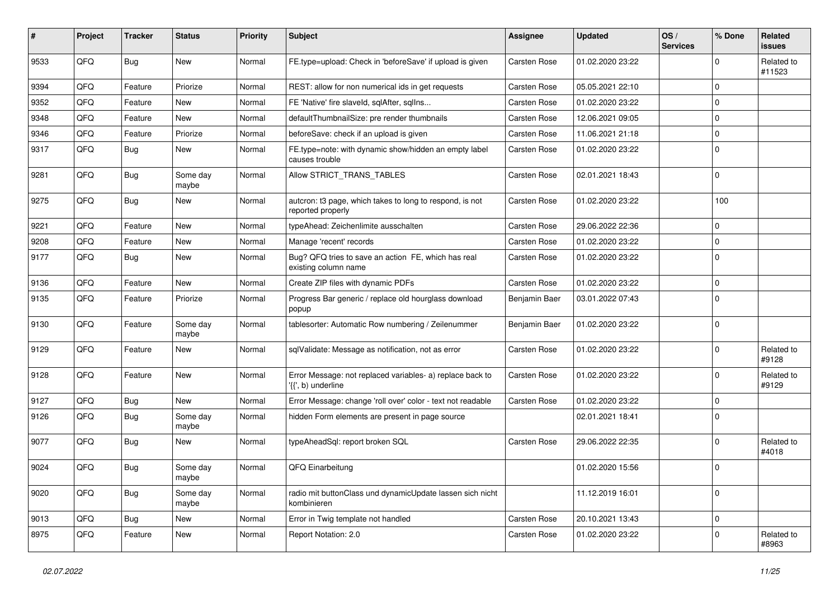| #    | Project | <b>Tracker</b> | <b>Status</b>     | <b>Priority</b> | Subject                                                                         | <b>Assignee</b>     | <b>Updated</b>   | OS/<br><b>Services</b> | % Done      | Related<br>issues    |
|------|---------|----------------|-------------------|-----------------|---------------------------------------------------------------------------------|---------------------|------------------|------------------------|-------------|----------------------|
| 9533 | QFQ     | <b>Bug</b>     | New               | Normal          | FE.type=upload: Check in 'beforeSave' if upload is given                        | Carsten Rose        | 01.02.2020 23:22 |                        | $\Omega$    | Related to<br>#11523 |
| 9394 | QFQ     | Feature        | Priorize          | Normal          | REST: allow for non numerical ids in get requests                               | <b>Carsten Rose</b> | 05.05.2021 22:10 |                        | 0           |                      |
| 9352 | QFQ     | Feature        | New               | Normal          | FE 'Native' fire slaveld, sqlAfter, sqlIns                                      | <b>Carsten Rose</b> | 01.02.2020 23:22 |                        | 0           |                      |
| 9348 | QFQ     | Feature        | New               | Normal          | defaultThumbnailSize: pre render thumbnails                                     | <b>Carsten Rose</b> | 12.06.2021 09:05 |                        | 0           |                      |
| 9346 | QFQ     | Feature        | Priorize          | Normal          | beforeSave: check if an upload is given                                         | Carsten Rose        | 11.06.2021 21:18 |                        | $\Omega$    |                      |
| 9317 | QFQ     | <b>Bug</b>     | New               | Normal          | FE.type=note: with dynamic show/hidden an empty label<br>causes trouble         | <b>Carsten Rose</b> | 01.02.2020 23:22 |                        | $\mathbf 0$ |                      |
| 9281 | QFQ     | <b>Bug</b>     | Some day<br>maybe | Normal          | Allow STRICT_TRANS_TABLES                                                       | <b>Carsten Rose</b> | 02.01.2021 18:43 |                        | $\Omega$    |                      |
| 9275 | QFQ     | Bug            | New               | Normal          | autcron: t3 page, which takes to long to respond, is not<br>reported properly   | Carsten Rose        | 01.02.2020 23:22 |                        | 100         |                      |
| 9221 | QFQ     | Feature        | New               | Normal          | typeAhead: Zeichenlimite ausschalten                                            | <b>Carsten Rose</b> | 29.06.2022 22:36 |                        | $\mathbf 0$ |                      |
| 9208 | QFQ     | Feature        | New               | Normal          | Manage 'recent' records                                                         | Carsten Rose        | 01.02.2020 23:22 |                        | $\mathbf 0$ |                      |
| 9177 | QFQ     | Bug            | New               | Normal          | Bug? QFQ tries to save an action FE, which has real<br>existing column name     | <b>Carsten Rose</b> | 01.02.2020 23:22 |                        | $\mathbf 0$ |                      |
| 9136 | QFQ     | Feature        | New               | Normal          | Create ZIP files with dynamic PDFs                                              | <b>Carsten Rose</b> | 01.02.2020 23:22 |                        | $\mathbf 0$ |                      |
| 9135 | QFQ     | Feature        | Priorize          | Normal          | Progress Bar generic / replace old hourglass download<br>popup                  | Benjamin Baer       | 03.01.2022 07:43 |                        | 0           |                      |
| 9130 | QFQ     | Feature        | Some day<br>maybe | Normal          | tablesorter: Automatic Row numbering / Zeilenummer                              | Benjamin Baer       | 01.02.2020 23:22 |                        | 0           |                      |
| 9129 | QFQ     | Feature        | New               | Normal          | sqlValidate: Message as notification, not as error                              | <b>Carsten Rose</b> | 01.02.2020 23:22 |                        | $\mathbf 0$ | Related to<br>#9128  |
| 9128 | QFQ     | Feature        | New               | Normal          | Error Message: not replaced variables- a) replace back to<br>'{{', b) underline | <b>Carsten Rose</b> | 01.02.2020 23:22 |                        | $\Omega$    | Related to<br>#9129  |
| 9127 | QFQ     | <b>Bug</b>     | New               | Normal          | Error Message: change 'roll over' color - text not readable                     | <b>Carsten Rose</b> | 01.02.2020 23:22 |                        | $\mathbf 0$ |                      |
| 9126 | QFQ     | <b>Bug</b>     | Some day<br>maybe | Normal          | hidden Form elements are present in page source                                 |                     | 02.01.2021 18:41 |                        | $\Omega$    |                      |
| 9077 | QFQ     | <b>Bug</b>     | New               | Normal          | typeAheadSql: report broken SQL                                                 | <b>Carsten Rose</b> | 29.06.2022 22:35 |                        | 0           | Related to<br>#4018  |
| 9024 | QFQ     | <b>Bug</b>     | Some day<br>maybe | Normal          | QFQ Einarbeitung                                                                |                     | 01.02.2020 15:56 |                        | $\mathbf 0$ |                      |
| 9020 | QFQ     | Bug            | Some day<br>maybe | Normal          | radio mit buttonClass und dynamicUpdate lassen sich nicht<br>kombinieren        |                     | 11.12.2019 16:01 |                        | $\mathbf 0$ |                      |
| 9013 | QFQ     | <b>Bug</b>     | New               | Normal          | Error in Twig template not handled                                              | <b>Carsten Rose</b> | 20.10.2021 13:43 |                        | $\mathbf 0$ |                      |
| 8975 | QFQ     | Feature        | New               | Normal          | Report Notation: 2.0                                                            | Carsten Rose        | 01.02.2020 23:22 |                        | 0           | Related to<br>#8963  |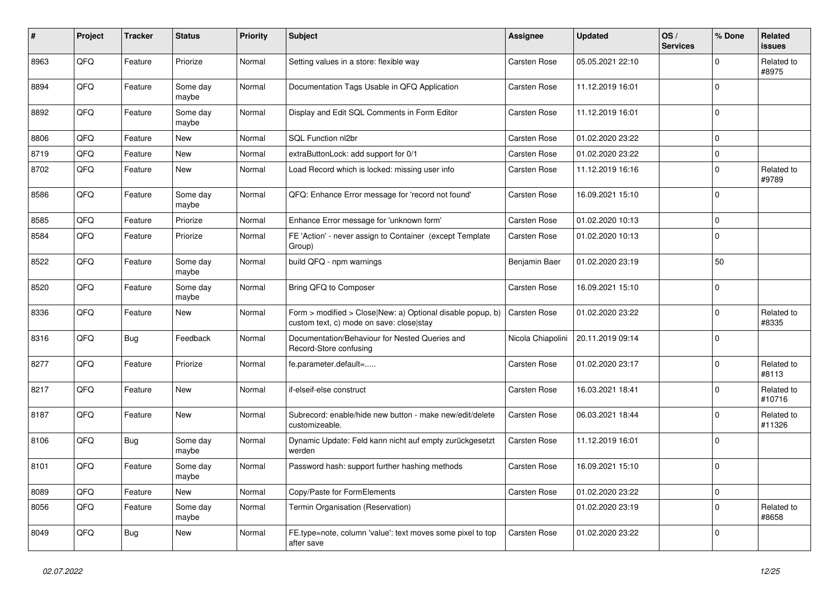| #    | Project | <b>Tracker</b> | <b>Status</b>     | <b>Priority</b> | Subject                                                                                                | Assignee            | <b>Updated</b>   | OS/<br><b>Services</b> | % Done      | Related<br>issues    |
|------|---------|----------------|-------------------|-----------------|--------------------------------------------------------------------------------------------------------|---------------------|------------------|------------------------|-------------|----------------------|
| 8963 | QFQ     | Feature        | Priorize          | Normal          | Setting values in a store: flexible way                                                                | Carsten Rose        | 05.05.2021 22:10 |                        | 0           | Related to<br>#8975  |
| 8894 | QFQ     | Feature        | Some day<br>maybe | Normal          | Documentation Tags Usable in QFQ Application                                                           | <b>Carsten Rose</b> | 11.12.2019 16:01 |                        | 0           |                      |
| 8892 | QFQ     | Feature        | Some day<br>maybe | Normal          | Display and Edit SQL Comments in Form Editor                                                           | Carsten Rose        | 11.12.2019 16:01 |                        | $\Omega$    |                      |
| 8806 | QFQ     | Feature        | <b>New</b>        | Normal          | SQL Function nl2br                                                                                     | Carsten Rose        | 01.02.2020 23:22 |                        | $\mathbf 0$ |                      |
| 8719 | QFQ     | Feature        | <b>New</b>        | Normal          | extraButtonLock: add support for 0/1                                                                   | <b>Carsten Rose</b> | 01.02.2020 23:22 |                        | $\Omega$    |                      |
| 8702 | QFQ     | Feature        | New               | Normal          | Load Record which is locked: missing user info                                                         | Carsten Rose        | 11.12.2019 16:16 |                        | 0           | Related to<br>#9789  |
| 8586 | QFQ     | Feature        | Some day<br>maybe | Normal          | QFQ: Enhance Error message for 'record not found'                                                      | Carsten Rose        | 16.09.2021 15:10 |                        | 0           |                      |
| 8585 | QFQ     | Feature        | Priorize          | Normal          | Enhance Error message for 'unknown form'                                                               | Carsten Rose        | 01.02.2020 10:13 |                        | 0           |                      |
| 8584 | QFQ     | Feature        | Priorize          | Normal          | FE 'Action' - never assign to Container (except Template<br>Group)                                     | Carsten Rose        | 01.02.2020 10:13 |                        | $\Omega$    |                      |
| 8522 | QFQ     | Feature        | Some day<br>maybe | Normal          | build QFQ - npm warnings                                                                               | Benjamin Baer       | 01.02.2020 23:19 |                        | 50          |                      |
| 8520 | QFQ     | Feature        | Some day<br>maybe | Normal          | Bring QFQ to Composer                                                                                  | <b>Carsten Rose</b> | 16.09.2021 15:10 |                        | $\mathbf 0$ |                      |
| 8336 | QFQ     | Feature        | New               | Normal          | Form > modified > Close New: a) Optional disable popup, b)<br>custom text, c) mode on save: close stay | Carsten Rose        | 01.02.2020 23:22 |                        | 0           | Related to<br>#8335  |
| 8316 | QFQ     | <b>Bug</b>     | Feedback          | Normal          | Documentation/Behaviour for Nested Queries and<br>Record-Store confusing                               | Nicola Chiapolini   | 20.11.2019 09:14 |                        | 0           |                      |
| 8277 | QFQ     | Feature        | Priorize          | Normal          | fe.parameter.default=                                                                                  | Carsten Rose        | 01.02.2020 23:17 |                        | 0           | Related to<br>#8113  |
| 8217 | QFQ     | Feature        | <b>New</b>        | Normal          | if-elseif-else construct                                                                               | Carsten Rose        | 16.03.2021 18:41 |                        | $\Omega$    | Related to<br>#10716 |
| 8187 | QFQ     | Feature        | New               | Normal          | Subrecord: enable/hide new button - make new/edit/delete<br>customizeable.                             | Carsten Rose        | 06.03.2021 18:44 |                        | $\Omega$    | Related to<br>#11326 |
| 8106 | QFQ     | Bug            | Some day<br>maybe | Normal          | Dynamic Update: Feld kann nicht auf empty zurückgesetzt<br>werden                                      | Carsten Rose        | 11.12.2019 16:01 |                        | $\Omega$    |                      |
| 8101 | QFQ     | Feature        | Some day<br>maybe | Normal          | Password hash: support further hashing methods                                                         | <b>Carsten Rose</b> | 16.09.2021 15:10 |                        | $\mathbf 0$ |                      |
| 8089 | QFQ     | Feature        | <b>New</b>        | Normal          | Copy/Paste for FormElements                                                                            | Carsten Rose        | 01.02.2020 23:22 |                        | 0           |                      |
| 8056 | QFQ     | Feature        | Some day<br>maybe | Normal          | Termin Organisation (Reservation)                                                                      |                     | 01.02.2020 23:19 |                        | 0           | Related to<br>#8658  |
| 8049 | QFG     | <b>Bug</b>     | New               | Normal          | FE.type=note, column 'value': text moves some pixel to top<br>after save                               | Carsten Rose        | 01.02.2020 23:22 |                        | 0           |                      |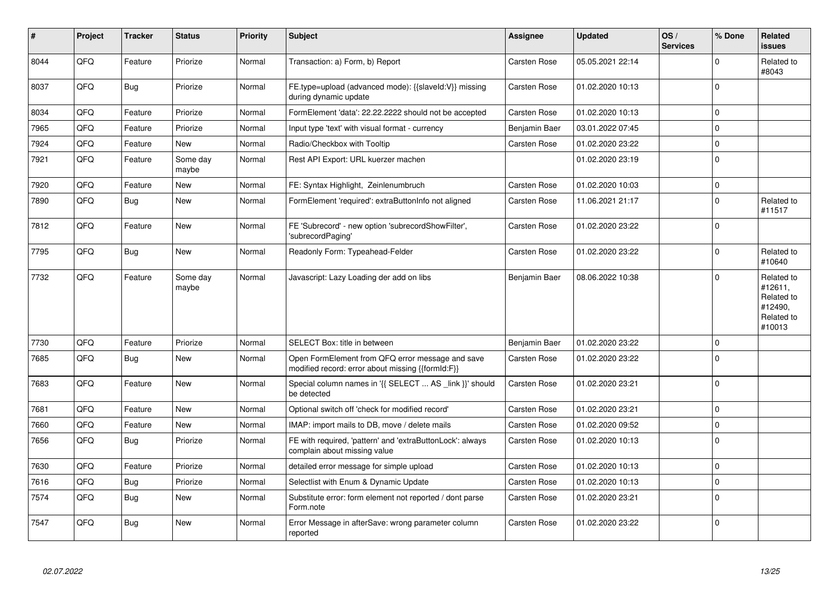| $\vert$ # | Project | <b>Tracker</b> | <b>Status</b>     | <b>Priority</b> | <b>Subject</b>                                                                                        | Assignee            | <b>Updated</b>   | OS/<br><b>Services</b> | % Done   | Related<br><b>issues</b>                                               |
|-----------|---------|----------------|-------------------|-----------------|-------------------------------------------------------------------------------------------------------|---------------------|------------------|------------------------|----------|------------------------------------------------------------------------|
| 8044      | QFQ     | Feature        | Priorize          | Normal          | Transaction: a) Form, b) Report                                                                       | Carsten Rose        | 05.05.2021 22:14 |                        | $\Omega$ | Related to<br>#8043                                                    |
| 8037      | QFQ     | <b>Bug</b>     | Priorize          | Normal          | FE.type=upload (advanced mode): {{slaveId:V}} missing<br>during dynamic update                        | <b>Carsten Rose</b> | 01.02.2020 10:13 |                        | $\Omega$ |                                                                        |
| 8034      | QFQ     | Feature        | Priorize          | Normal          | FormElement 'data': 22.22.2222 should not be accepted                                                 | Carsten Rose        | 01.02.2020 10:13 |                        | 0        |                                                                        |
| 7965      | QFQ     | Feature        | Priorize          | Normal          | Input type 'text' with visual format - currency                                                       | Benjamin Baer       | 03.01.2022 07:45 |                        | $\Omega$ |                                                                        |
| 7924      | QFQ     | Feature        | <b>New</b>        | Normal          | Radio/Checkbox with Tooltip                                                                           | Carsten Rose        | 01.02.2020 23:22 |                        | $\Omega$ |                                                                        |
| 7921      | QFQ     | Feature        | Some day<br>maybe | Normal          | Rest API Export: URL kuerzer machen                                                                   |                     | 01.02.2020 23:19 |                        | $\Omega$ |                                                                        |
| 7920      | QFQ     | Feature        | <b>New</b>        | Normal          | FE: Syntax Highlight, Zeinlenumbruch                                                                  | Carsten Rose        | 01.02.2020 10:03 |                        | $\Omega$ |                                                                        |
| 7890      | QFQ     | <b>Bug</b>     | <b>New</b>        | Normal          | FormElement 'required': extraButtonInfo not aligned                                                   | Carsten Rose        | 11.06.2021 21:17 |                        | $\Omega$ | Related to<br>#11517                                                   |
| 7812      | QFQ     | Feature        | <b>New</b>        | Normal          | FE 'Subrecord' - new option 'subrecordShowFilter',<br>'subrecordPaging'                               | Carsten Rose        | 01.02.2020 23:22 |                        | $\Omega$ |                                                                        |
| 7795      | QFQ     | <b>Bug</b>     | <b>New</b>        | Normal          | Readonly Form: Typeahead-Felder                                                                       | <b>Carsten Rose</b> | 01.02.2020 23:22 |                        | $\Omega$ | Related to<br>#10640                                                   |
| 7732      | QFQ     | Feature        | Some day<br>maybe | Normal          | Javascript: Lazy Loading der add on libs                                                              | Benjamin Baer       | 08.06.2022 10:38 |                        | $\Omega$ | Related to<br>#12611.<br>Related to<br>#12490,<br>Related to<br>#10013 |
| 7730      | QFQ     | Feature        | Priorize          | Normal          | SELECT Box: title in between                                                                          | Benjamin Baer       | 01.02.2020 23:22 |                        | $\Omega$ |                                                                        |
| 7685      | QFQ     | Bug            | <b>New</b>        | Normal          | Open FormElement from QFQ error message and save<br>modified record: error about missing {{formId:F}} | Carsten Rose        | 01.02.2020 23:22 |                        | $\Omega$ |                                                                        |
| 7683      | QFQ     | Feature        | <b>New</b>        | Normal          | Special column names in '{{ SELECT  AS link }}' should<br>be detected                                 | <b>Carsten Rose</b> | 01.02.2020 23:21 |                        | $\Omega$ |                                                                        |
| 7681      | QFQ     | Feature        | <b>New</b>        | Normal          | Optional switch off 'check for modified record'                                                       | <b>Carsten Rose</b> | 01.02.2020 23:21 |                        | $\Omega$ |                                                                        |
| 7660      | QFQ     | Feature        | <b>New</b>        | Normal          | IMAP: import mails to DB, move / delete mails                                                         | Carsten Rose        | 01.02.2020 09:52 |                        | $\Omega$ |                                                                        |
| 7656      | QFQ     | <b>Bug</b>     | Priorize          | Normal          | FE with required, 'pattern' and 'extraButtonLock': always<br>complain about missing value             | <b>Carsten Rose</b> | 01.02.2020 10:13 |                        | $\Omega$ |                                                                        |
| 7630      | QFQ     | Feature        | Priorize          | Normal          | detailed error message for simple upload                                                              | <b>Carsten Rose</b> | 01.02.2020 10:13 |                        | $\Omega$ |                                                                        |
| 7616      | QFQ     | <b>Bug</b>     | Priorize          | Normal          | Selectlist with Enum & Dynamic Update                                                                 | <b>Carsten Rose</b> | 01.02.2020 10:13 |                        | $\Omega$ |                                                                        |
| 7574      | QFQ     | <b>Bug</b>     | <b>New</b>        | Normal          | Substitute error: form element not reported / dont parse<br>Form.note                                 | Carsten Rose        | 01.02.2020 23:21 |                        | $\Omega$ |                                                                        |
| 7547      | QFQ     | <b>Bug</b>     | New               | Normal          | Error Message in afterSave: wrong parameter column<br>reported                                        | <b>Carsten Rose</b> | 01.02.2020 23:22 |                        | $\Omega$ |                                                                        |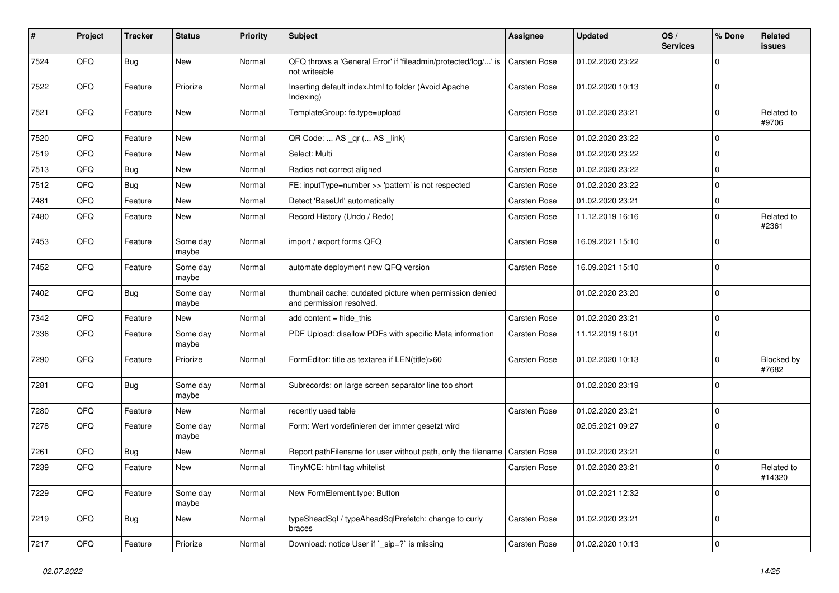| #    | Project | <b>Tracker</b> | <b>Status</b>     | <b>Priority</b> | <b>Subject</b>                                                                       | <b>Assignee</b>     | <b>Updated</b>   | OS/<br><b>Services</b> | % Done      | Related<br>issues    |
|------|---------|----------------|-------------------|-----------------|--------------------------------------------------------------------------------------|---------------------|------------------|------------------------|-------------|----------------------|
| 7524 | QFQ     | Bug            | New               | Normal          | QFQ throws a 'General Error' if 'fileadmin/protected/log/' is<br>not writeable       | Carsten Rose        | 01.02.2020 23:22 |                        | $\Omega$    |                      |
| 7522 | QFQ     | Feature        | Priorize          | Normal          | Inserting default index.html to folder (Avoid Apache<br>Indexing)                    | Carsten Rose        | 01.02.2020 10:13 |                        | $\mathbf 0$ |                      |
| 7521 | QFQ     | Feature        | New               | Normal          | TemplateGroup: fe.type=upload                                                        | Carsten Rose        | 01.02.2020 23:21 |                        | $\Omega$    | Related to<br>#9706  |
| 7520 | QFQ     | Feature        | New               | Normal          | QR Code:  AS _qr ( AS _link)                                                         | Carsten Rose        | 01.02.2020 23:22 |                        | 0           |                      |
| 7519 | QFQ     | Feature        | New               | Normal          | Select: Multi                                                                        | Carsten Rose        | 01.02.2020 23:22 |                        | 0           |                      |
| 7513 | QFQ     | <b>Bug</b>     | New               | Normal          | Radios not correct aligned                                                           | Carsten Rose        | 01.02.2020 23:22 |                        | 0           |                      |
| 7512 | QFQ     | Bug            | New               | Normal          | FE: inputType=number >> 'pattern' is not respected                                   | Carsten Rose        | 01.02.2020 23:22 |                        | $\Omega$    |                      |
| 7481 | QFQ     | Feature        | New               | Normal          | Detect 'BaseUrl' automatically                                                       | Carsten Rose        | 01.02.2020 23:21 |                        | $\mathbf 0$ |                      |
| 7480 | QFQ     | Feature        | New               | Normal          | Record History (Undo / Redo)                                                         | Carsten Rose        | 11.12.2019 16:16 |                        | $\mathbf 0$ | Related to<br>#2361  |
| 7453 | QFQ     | Feature        | Some day<br>maybe | Normal          | import / export forms QFQ                                                            | Carsten Rose        | 16.09.2021 15:10 |                        | $\mathbf 0$ |                      |
| 7452 | QFQ     | Feature        | Some day<br>maybe | Normal          | automate deployment new QFQ version                                                  | Carsten Rose        | 16.09.2021 15:10 |                        | $\Omega$    |                      |
| 7402 | QFQ     | <b>Bug</b>     | Some day<br>maybe | Normal          | thumbnail cache: outdated picture when permission denied<br>and permission resolved. |                     | 01.02.2020 23:20 |                        | $\Omega$    |                      |
| 7342 | QFQ     | Feature        | New               | Normal          | add content = hide_this                                                              | Carsten Rose        | 01.02.2020 23:21 |                        | $\mathbf 0$ |                      |
| 7336 | QFQ     | Feature        | Some day<br>maybe | Normal          | PDF Upload: disallow PDFs with specific Meta information                             | Carsten Rose        | 11.12.2019 16:01 |                        | $\Omega$    |                      |
| 7290 | QFQ     | Feature        | Priorize          | Normal          | FormEditor: title as textarea if LEN(title)>60                                       | Carsten Rose        | 01.02.2020 10:13 |                        | 0           | Blocked by<br>#7682  |
| 7281 | QFQ     | <b>Bug</b>     | Some day<br>maybe | Normal          | Subrecords: on large screen separator line too short                                 |                     | 01.02.2020 23:19 |                        | $\mathbf 0$ |                      |
| 7280 | QFQ     | Feature        | New               | Normal          | recently used table                                                                  | Carsten Rose        | 01.02.2020 23:21 |                        | 0           |                      |
| 7278 | QFQ     | Feature        | Some day<br>maybe | Normal          | Form: Wert vordefinieren der immer gesetzt wird                                      |                     | 02.05.2021 09:27 |                        | 0           |                      |
| 7261 | QFQ     | <b>Bug</b>     | New               | Normal          | Report pathFilename for user without path, only the filename                         | <b>Carsten Rose</b> | 01.02.2020 23:21 |                        | $\mathbf 0$ |                      |
| 7239 | QFQ     | Feature        | New               | Normal          | TinyMCE: html tag whitelist                                                          | Carsten Rose        | 01.02.2020 23:21 |                        | $\Omega$    | Related to<br>#14320 |
| 7229 | QFQ     | Feature        | Some day<br>maybe | Normal          | New FormElement.type: Button                                                         |                     | 01.02.2021 12:32 |                        | 0           |                      |
| 7219 | QFQ     | <b>Bug</b>     | New               | Normal          | typeSheadSql / typeAheadSqlPrefetch: change to curly<br>braces                       | Carsten Rose        | 01.02.2020 23:21 |                        | $\mathbf 0$ |                      |
| 7217 | QFQ     | Feature        | Priorize          | Normal          | Download: notice User if `_sip=?` is missing                                         | Carsten Rose        | 01.02.2020 10:13 |                        | 0           |                      |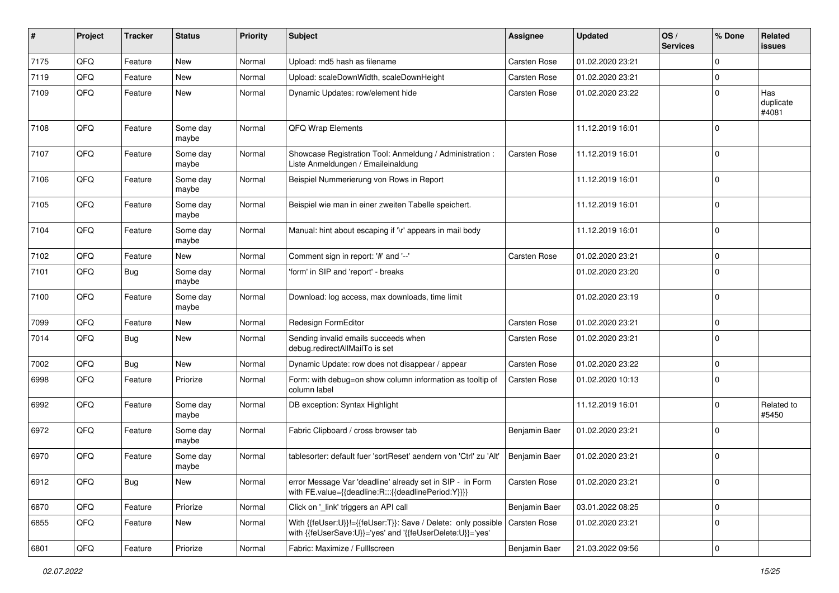| #    | Project | <b>Tracker</b> | <b>Status</b>     | <b>Priority</b> | <b>Subject</b>                                                                                                             | Assignee            | <b>Updated</b>   | OS/<br><b>Services</b> | % Done      | Related<br>issues         |
|------|---------|----------------|-------------------|-----------------|----------------------------------------------------------------------------------------------------------------------------|---------------------|------------------|------------------------|-------------|---------------------------|
| 7175 | QFQ     | Feature        | <b>New</b>        | Normal          | Upload: md5 hash as filename                                                                                               | Carsten Rose        | 01.02.2020 23:21 |                        | $\Omega$    |                           |
| 7119 | QFQ     | Feature        | <b>New</b>        | Normal          | Upload: scaleDownWidth, scaleDownHeight                                                                                    | Carsten Rose        | 01.02.2020 23:21 |                        | $\Omega$    |                           |
| 7109 | QFQ     | Feature        | New               | Normal          | Dynamic Updates: row/element hide                                                                                          | <b>Carsten Rose</b> | 01.02.2020 23:22 |                        | $\Omega$    | Has<br>duplicate<br>#4081 |
| 7108 | QFQ     | Feature        | Some day<br>maybe | Normal          | QFQ Wrap Elements                                                                                                          |                     | 11.12.2019 16:01 |                        | $\Omega$    |                           |
| 7107 | QFQ     | Feature        | Some day<br>maybe | Normal          | Showcase Registration Tool: Anmeldung / Administration :<br>Liste Anmeldungen / Emaileinaldung                             | Carsten Rose        | 11.12.2019 16:01 |                        | $\Omega$    |                           |
| 7106 | QFQ     | Feature        | Some day<br>maybe | Normal          | Beispiel Nummerierung von Rows in Report                                                                                   |                     | 11.12.2019 16:01 |                        | $\Omega$    |                           |
| 7105 | QFQ     | Feature        | Some day<br>maybe | Normal          | Beispiel wie man in einer zweiten Tabelle speichert.                                                                       |                     | 11.12.2019 16:01 |                        | 0           |                           |
| 7104 | QFQ     | Feature        | Some day<br>maybe | Normal          | Manual: hint about escaping if '\r' appears in mail body                                                                   |                     | 11.12.2019 16:01 |                        | $\mathbf 0$ |                           |
| 7102 | QFQ     | Feature        | New               | Normal          | Comment sign in report: '#' and '--'                                                                                       | Carsten Rose        | 01.02.2020 23:21 |                        | 0           |                           |
| 7101 | QFQ     | Bug            | Some day<br>maybe | Normal          | 'form' in SIP and 'report' - breaks                                                                                        |                     | 01.02.2020 23:20 |                        | $\Omega$    |                           |
| 7100 | QFQ     | Feature        | Some day<br>maybe | Normal          | Download: log access, max downloads, time limit                                                                            |                     | 01.02.2020 23:19 |                        | $\Omega$    |                           |
| 7099 | QFQ     | Feature        | New               | Normal          | Redesign FormEditor                                                                                                        | Carsten Rose        | 01.02.2020 23:21 |                        | $\Omega$    |                           |
| 7014 | QFQ     | Bug            | New               | Normal          | Sending invalid emails succeeds when<br>debug.redirectAllMailTo is set                                                     | Carsten Rose        | 01.02.2020 23:21 |                        | $\mathbf 0$ |                           |
| 7002 | QFQ     | <b>Bug</b>     | <b>New</b>        | Normal          | Dynamic Update: row does not disappear / appear                                                                            | Carsten Rose        | 01.02.2020 23:22 |                        | $\Omega$    |                           |
| 6998 | QFQ     | Feature        | Priorize          | Normal          | Form: with debug=on show column information as tooltip of<br>column label                                                  | <b>Carsten Rose</b> | 01.02.2020 10:13 |                        | $\Omega$    |                           |
| 6992 | QFQ     | Feature        | Some day<br>maybe | Normal          | DB exception: Syntax Highlight                                                                                             |                     | 11.12.2019 16:01 |                        | $\Omega$    | Related to<br>#5450       |
| 6972 | QFQ     | Feature        | Some day<br>maybe | Normal          | Fabric Clipboard / cross browser tab                                                                                       | Benjamin Baer       | 01.02.2020 23:21 |                        | $\Omega$    |                           |
| 6970 | QFQ     | Feature        | Some day<br>maybe | Normal          | tablesorter: default fuer 'sortReset' aendern von 'Ctrl' zu 'Alt'                                                          | Benjamin Baer       | 01.02.2020 23:21 |                        | 0           |                           |
| 6912 | QFQ     | Bug            | New               | Normal          | error Message Var 'deadline' already set in SIP - in Form<br>with FE.value={{deadline:R:::{{deadlinePeriod:Y}}}}           | Carsten Rose        | 01.02.2020 23:21 |                        | 0           |                           |
| 6870 | QFQ     | Feature        | Priorize          | Normal          | Click on '_link' triggers an API call                                                                                      | Benjamin Baer       | 03.01.2022 08:25 |                        | 0           |                           |
| 6855 | QFQ     | Feature        | New               | Normal          | With {{feUser:U}}!={{feUser:T}}: Save / Delete: only possible<br>with {{feUserSave:U}}='yes' and '{{feUserDelete:U}}='yes' | <b>Carsten Rose</b> | 01.02.2020 23:21 |                        | 0           |                           |
| 6801 | QFQ     | Feature        | Priorize          | Normal          | Fabric: Maximize / Fulllscreen                                                                                             | Benjamin Baer       | 21.03.2022 09:56 |                        | 0           |                           |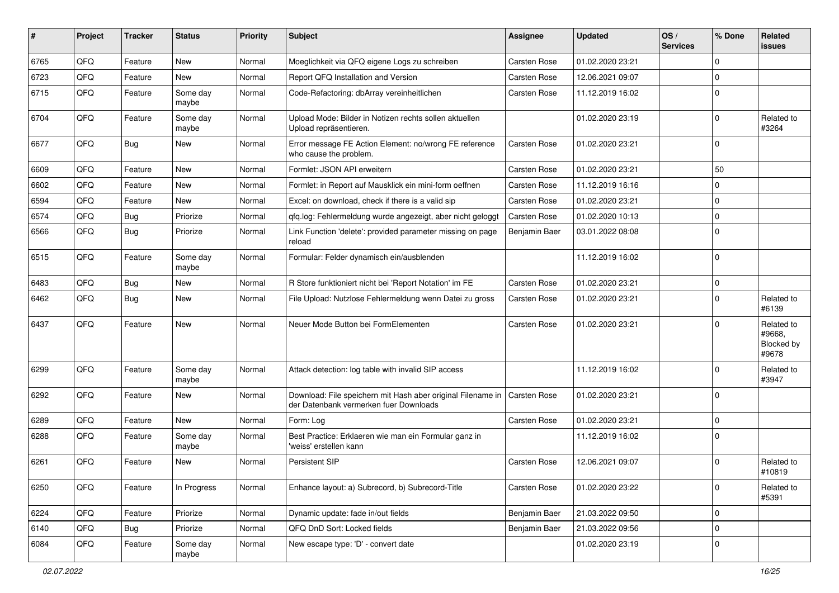| #    | Project | <b>Tracker</b> | <b>Status</b>     | <b>Priority</b> | Subject                                                                                               | <b>Assignee</b>     | <b>Updated</b>   | OS/<br><b>Services</b> | % Done      | Related<br>issues                           |
|------|---------|----------------|-------------------|-----------------|-------------------------------------------------------------------------------------------------------|---------------------|------------------|------------------------|-------------|---------------------------------------------|
| 6765 | QFQ     | Feature        | <b>New</b>        | Normal          | Moeglichkeit via QFQ eigene Logs zu schreiben                                                         | Carsten Rose        | 01.02.2020 23:21 |                        | $\Omega$    |                                             |
| 6723 | QFQ     | Feature        | <b>New</b>        | Normal          | Report QFQ Installation and Version                                                                   | Carsten Rose        | 12.06.2021 09:07 |                        | $\Omega$    |                                             |
| 6715 | QFQ     | Feature        | Some day<br>maybe | Normal          | Code-Refactoring: dbArray vereinheitlichen                                                            | Carsten Rose        | 11.12.2019 16:02 |                        | $\mathbf 0$ |                                             |
| 6704 | QFQ     | Feature        | Some day<br>maybe | Normal          | Upload Mode: Bilder in Notizen rechts sollen aktuellen<br>Upload repräsentieren.                      |                     | 01.02.2020 23:19 |                        | $\Omega$    | Related to<br>#3264                         |
| 6677 | QFQ     | Bug            | <b>New</b>        | Normal          | Error message FE Action Element: no/wrong FE reference<br>who cause the problem.                      | Carsten Rose        | 01.02.2020 23:21 |                        | $\mathbf 0$ |                                             |
| 6609 | QFQ     | Feature        | <b>New</b>        | Normal          | Formlet: JSON API erweitern                                                                           | Carsten Rose        | 01.02.2020 23:21 |                        | 50          |                                             |
| 6602 | QFQ     | Feature        | <b>New</b>        | Normal          | Formlet: in Report auf Mausklick ein mini-form oeffnen                                                | Carsten Rose        | 11.12.2019 16:16 |                        | $\Omega$    |                                             |
| 6594 | QFQ     | Feature        | New               | Normal          | Excel: on download, check if there is a valid sip                                                     | Carsten Rose        | 01.02.2020 23:21 |                        | $\Omega$    |                                             |
| 6574 | QFQ     | Bug            | Priorize          | Normal          | qfq.log: Fehlermeldung wurde angezeigt, aber nicht geloggt                                            | Carsten Rose        | 01.02.2020 10:13 |                        | $\mathbf 0$ |                                             |
| 6566 | QFQ     | <b>Bug</b>     | Priorize          | Normal          | Link Function 'delete': provided parameter missing on page<br>reload                                  | Benjamin Baer       | 03.01.2022 08:08 |                        | $\Omega$    |                                             |
| 6515 | QFQ     | Feature        | Some day<br>maybe | Normal          | Formular: Felder dynamisch ein/ausblenden                                                             |                     | 11.12.2019 16:02 |                        | $\Omega$    |                                             |
| 6483 | QFQ     | <b>Bug</b>     | <b>New</b>        | Normal          | R Store funktioniert nicht bei 'Report Notation' im FE                                                | Carsten Rose        | 01.02.2020 23:21 |                        | $\mathbf 0$ |                                             |
| 6462 | QFQ     | Bug            | <b>New</b>        | Normal          | File Upload: Nutzlose Fehlermeldung wenn Datei zu gross                                               | Carsten Rose        | 01.02.2020 23:21 |                        | $\Omega$    | Related to<br>#6139                         |
| 6437 | QFQ     | Feature        | <b>New</b>        | Normal          | Neuer Mode Button bei FormElementen                                                                   | Carsten Rose        | 01.02.2020 23:21 |                        | $\Omega$    | Related to<br>#9668.<br>Blocked by<br>#9678 |
| 6299 | QFQ     | Feature        | Some day<br>maybe | Normal          | Attack detection: log table with invalid SIP access                                                   |                     | 11.12.2019 16:02 |                        | $\Omega$    | Related to<br>#3947                         |
| 6292 | QFQ     | Feature        | <b>New</b>        | Normal          | Download: File speichern mit Hash aber original Filename in<br>der Datenbank vermerken fuer Downloads | <b>Carsten Rose</b> | 01.02.2020 23:21 |                        | $\mathbf 0$ |                                             |
| 6289 | QFQ     | Feature        | <b>New</b>        | Normal          | Form: Log                                                                                             | Carsten Rose        | 01.02.2020 23:21 |                        | $\mathbf 0$ |                                             |
| 6288 | QFQ     | Feature        | Some day<br>maybe | Normal          | Best Practice: Erklaeren wie man ein Formular ganz in<br>'weiss' erstellen kann                       |                     | 11.12.2019 16:02 |                        | $\Omega$    |                                             |
| 6261 | QFQ     | Feature        | <b>New</b>        | Normal          | <b>Persistent SIP</b>                                                                                 | Carsten Rose        | 12.06.2021 09:07 |                        | $\mathbf 0$ | Related to<br>#10819                        |
| 6250 | QFQ     | Feature        | In Progress       | Normal          | Enhance layout: a) Subrecord, b) Subrecord-Title                                                      | Carsten Rose        | 01.02.2020 23:22 |                        | $\mathbf 0$ | Related to<br>#5391                         |
| 6224 | QFQ     | Feature        | Priorize          | Normal          | Dynamic update: fade in/out fields                                                                    | Benjamin Baer       | 21.03.2022 09:50 |                        | 0           |                                             |
| 6140 | QFQ     | <b>Bug</b>     | Priorize          | Normal          | QFQ DnD Sort: Locked fields                                                                           | Benjamin Baer       | 21.03.2022 09:56 |                        | $\pmb{0}$   |                                             |
| 6084 | QFQ     | Feature        | Some day<br>maybe | Normal          | New escape type: 'D' - convert date                                                                   |                     | 01.02.2020 23:19 |                        | 0           |                                             |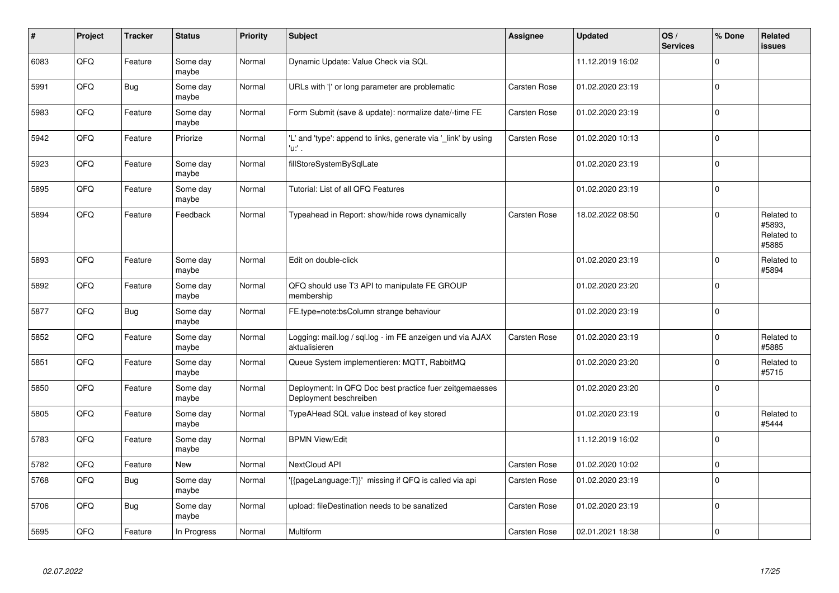| #    | Project | <b>Tracker</b> | <b>Status</b>     | <b>Priority</b> | <b>Subject</b>                                                                    | Assignee            | <b>Updated</b>   | OS/<br><b>Services</b> | % Done      | Related<br><b>issues</b>                    |
|------|---------|----------------|-------------------|-----------------|-----------------------------------------------------------------------------------|---------------------|------------------|------------------------|-------------|---------------------------------------------|
| 6083 | QFQ     | Feature        | Some day<br>maybe | Normal          | Dynamic Update: Value Check via SQL                                               |                     | 11.12.2019 16:02 |                        | $\Omega$    |                                             |
| 5991 | QFQ     | Bug            | Some day<br>maybe | Normal          | URLs with 'I' or long parameter are problematic                                   | <b>Carsten Rose</b> | 01.02.2020 23:19 |                        | $\Omega$    |                                             |
| 5983 | QFQ     | Feature        | Some day<br>maybe | Normal          | Form Submit (save & update): normalize date/-time FE                              | Carsten Rose        | 01.02.2020 23:19 |                        | $\Omega$    |                                             |
| 5942 | QFQ     | Feature        | Priorize          | Normal          | 'L' and 'type': append to links, generate via 'link' by using<br>'n.              | <b>Carsten Rose</b> | 01.02.2020 10:13 |                        | $\Omega$    |                                             |
| 5923 | QFQ     | Feature        | Some day<br>maybe | Normal          | fillStoreSystemBySqlLate                                                          |                     | 01.02.2020 23:19 |                        | $\Omega$    |                                             |
| 5895 | QFQ     | Feature        | Some day<br>maybe | Normal          | Tutorial: List of all QFQ Features                                                |                     | 01.02.2020 23:19 |                        | $\Omega$    |                                             |
| 5894 | QFQ     | Feature        | Feedback          | Normal          | Typeahead in Report: show/hide rows dynamically                                   | <b>Carsten Rose</b> | 18.02.2022 08:50 |                        | $\Omega$    | Related to<br>#5893,<br>Related to<br>#5885 |
| 5893 | QFQ     | Feature        | Some day<br>maybe | Normal          | Edit on double-click                                                              |                     | 01.02.2020 23:19 |                        | $\Omega$    | Related to<br>#5894                         |
| 5892 | QFQ     | Feature        | Some day<br>maybe | Normal          | QFQ should use T3 API to manipulate FE GROUP<br>membership                        |                     | 01.02.2020 23:20 |                        | $\Omega$    |                                             |
| 5877 | QFQ     | <b>Bug</b>     | Some day<br>maybe | Normal          | FE.type=note:bsColumn strange behaviour                                           |                     | 01.02.2020 23:19 |                        | 0           |                                             |
| 5852 | QFQ     | Feature        | Some day<br>maybe | Normal          | Logging: mail.log / sql.log - im FE anzeigen und via AJAX<br>aktualisieren        | <b>Carsten Rose</b> | 01.02.2020 23:19 |                        | $\Omega$    | Related to<br>#5885                         |
| 5851 | QFQ     | Feature        | Some day<br>maybe | Normal          | Queue System implementieren: MQTT, RabbitMQ                                       |                     | 01.02.2020 23:20 |                        | $\Omega$    | Related to<br>#5715                         |
| 5850 | QFQ     | Feature        | Some day<br>maybe | Normal          | Deployment: In QFQ Doc best practice fuer zeitgemaesses<br>Deployment beschreiben |                     | 01.02.2020 23:20 |                        | $\Omega$    |                                             |
| 5805 | QFQ     | Feature        | Some day<br>maybe | Normal          | TypeAHead SQL value instead of key stored                                         |                     | 01.02.2020 23:19 |                        | $\Omega$    | Related to<br>#5444                         |
| 5783 | QFQ     | Feature        | Some day<br>maybe | Normal          | <b>BPMN View/Edit</b>                                                             |                     | 11.12.2019 16:02 |                        | $\Omega$    |                                             |
| 5782 | QFQ     | Feature        | New               | Normal          | NextCloud API                                                                     | Carsten Rose        | 01.02.2020 10:02 |                        | $\Omega$    |                                             |
| 5768 | QFQ     | <b>Bug</b>     | Some day<br>maybe | Normal          | {{pageLanguage:T}}' missing if QFQ is called via api                              | Carsten Rose        | 01.02.2020 23:19 |                        | $\mathbf 0$ |                                             |
| 5706 | QFQ     | <b>Bug</b>     | Some day<br>maybe | Normal          | upload: fileDestination needs to be sanatized                                     | <b>Carsten Rose</b> | 01.02.2020 23:19 |                        | $\Omega$    |                                             |
| 5695 | QFQ     | Feature        | In Progress       | Normal          | Multiform                                                                         | <b>Carsten Rose</b> | 02.01.2021 18:38 |                        | $\Omega$    |                                             |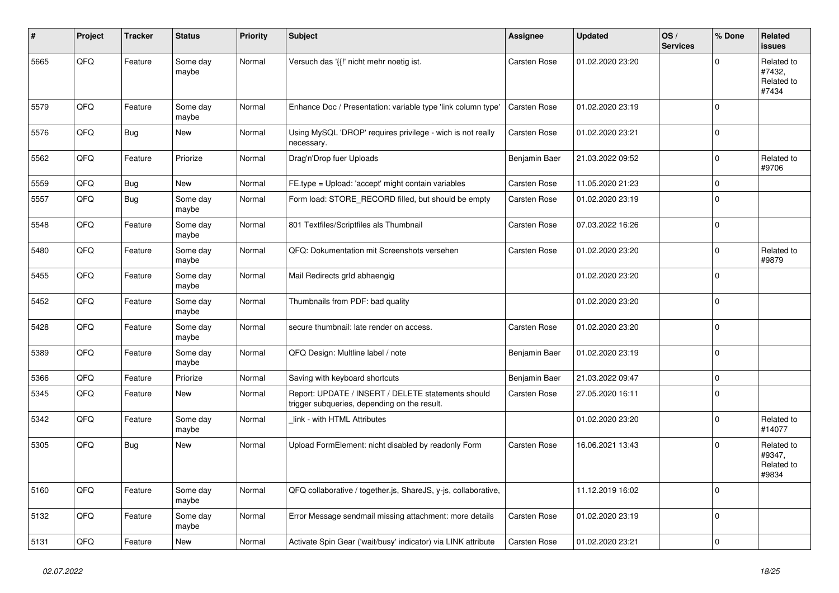| #    | Project | <b>Tracker</b> | <b>Status</b>     | <b>Priority</b> | <b>Subject</b>                                                                                     | Assignee            | <b>Updated</b>   | OS/<br><b>Services</b> | % Done      | Related<br><b>issues</b>                    |
|------|---------|----------------|-------------------|-----------------|----------------------------------------------------------------------------------------------------|---------------------|------------------|------------------------|-------------|---------------------------------------------|
| 5665 | QFQ     | Feature        | Some day<br>maybe | Normal          | Versuch das '{{!' nicht mehr noetig ist.                                                           | <b>Carsten Rose</b> | 01.02.2020 23:20 |                        | $\Omega$    | Related to<br>#7432,<br>Related to<br>#7434 |
| 5579 | QFQ     | Feature        | Some day<br>maybe | Normal          | Enhance Doc / Presentation: variable type 'link column type'                                       | Carsten Rose        | 01.02.2020 23:19 |                        | $\Omega$    |                                             |
| 5576 | QFQ     | <b>Bug</b>     | <b>New</b>        | Normal          | Using MySQL 'DROP' requires privilege - wich is not really<br>necessary.                           | Carsten Rose        | 01.02.2020 23:21 |                        | $\Omega$    |                                             |
| 5562 | QFQ     | Feature        | Priorize          | Normal          | Drag'n'Drop fuer Uploads                                                                           | Benjamin Baer       | 21.03.2022 09:52 |                        | $\Omega$    | Related to<br>#9706                         |
| 5559 | QFQ     | <b>Bug</b>     | <b>New</b>        | Normal          | FE.type = Upload: 'accept' might contain variables                                                 | Carsten Rose        | 11.05.2020 21:23 |                        | $\mathbf 0$ |                                             |
| 5557 | QFQ     | <b>Bug</b>     | Some day<br>maybe | Normal          | Form load: STORE RECORD filled, but should be empty                                                | Carsten Rose        | 01.02.2020 23:19 |                        | $\Omega$    |                                             |
| 5548 | QFQ     | Feature        | Some day<br>maybe | Normal          | 801 Textfiles/Scriptfiles als Thumbnail                                                            | Carsten Rose        | 07.03.2022 16:26 |                        | $\mathbf 0$ |                                             |
| 5480 | QFQ     | Feature        | Some day<br>maybe | Normal          | QFQ: Dokumentation mit Screenshots versehen                                                        | Carsten Rose        | 01.02.2020 23:20 |                        | $\mathbf 0$ | Related to<br>#9879                         |
| 5455 | QFQ     | Feature        | Some day<br>maybe | Normal          | Mail Redirects grld abhaengig                                                                      |                     | 01.02.2020 23:20 |                        | $\Omega$    |                                             |
| 5452 | QFQ     | Feature        | Some day<br>maybe | Normal          | Thumbnails from PDF: bad quality                                                                   |                     | 01.02.2020 23:20 |                        | $\Omega$    |                                             |
| 5428 | QFQ     | Feature        | Some day<br>maybe | Normal          | secure thumbnail: late render on access.                                                           | Carsten Rose        | 01.02.2020 23:20 |                        | $\Omega$    |                                             |
| 5389 | QFQ     | Feature        | Some day<br>maybe | Normal          | QFQ Design: Multline label / note                                                                  | Benjamin Baer       | 01.02.2020 23:19 |                        | $\mathbf 0$ |                                             |
| 5366 | QFQ     | Feature        | Priorize          | Normal          | Saving with keyboard shortcuts                                                                     | Benjamin Baer       | 21.03.2022 09:47 |                        | $\Omega$    |                                             |
| 5345 | QFQ     | Feature        | <b>New</b>        | Normal          | Report: UPDATE / INSERT / DELETE statements should<br>trigger subqueries, depending on the result. | Carsten Rose        | 27.05.2020 16:11 |                        | $\Omega$    |                                             |
| 5342 | QFQ     | Feature        | Some day<br>maybe | Normal          | link - with HTML Attributes                                                                        |                     | 01.02.2020 23:20 |                        | $\Omega$    | Related to<br>#14077                        |
| 5305 | QFQ     | Bug            | <b>New</b>        | Normal          | Upload FormElement: nicht disabled by readonly Form                                                | <b>Carsten Rose</b> | 16.06.2021 13:43 |                        | $\mathbf 0$ | Related to<br>#9347,<br>Related to<br>#9834 |
| 5160 | QFQ     | Feature        | Some day<br>maybe | Normal          | QFQ collaborative / together.js, ShareJS, y-js, collaborative,                                     |                     | 11.12.2019 16:02 |                        | $\Omega$    |                                             |
| 5132 | QFQ     | Feature        | Some day<br>maybe | Normal          | Error Message sendmail missing attachment: more details                                            | Carsten Rose        | 01.02.2020 23:19 |                        | $\Omega$    |                                             |
| 5131 | QFQ     | Feature        | New               | Normal          | Activate Spin Gear ('wait/busy' indicator) via LINK attribute                                      | Carsten Rose        | 01.02.2020 23:21 |                        | $\mathbf 0$ |                                             |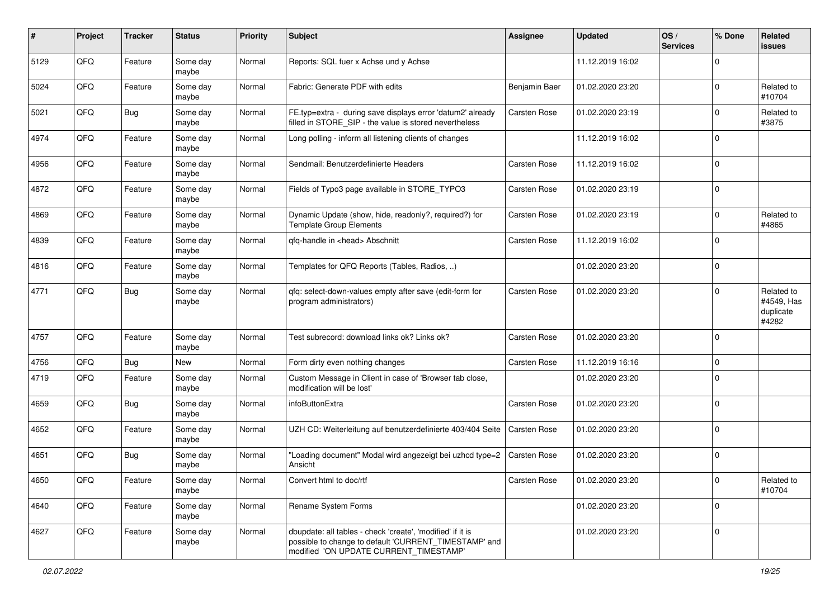| #    | Project | <b>Tracker</b> | <b>Status</b>     | <b>Priority</b> | <b>Subject</b>                                                                                                                                                | Assignee            | <b>Updated</b>   | OS/<br><b>Services</b> | % Done       | Related<br>issues                              |
|------|---------|----------------|-------------------|-----------------|---------------------------------------------------------------------------------------------------------------------------------------------------------------|---------------------|------------------|------------------------|--------------|------------------------------------------------|
| 5129 | QFQ     | Feature        | Some day<br>maybe | Normal          | Reports: SQL fuer x Achse und y Achse                                                                                                                         |                     | 11.12.2019 16:02 |                        | 0            |                                                |
| 5024 | QFQ     | Feature        | Some day<br>maybe | Normal          | Fabric: Generate PDF with edits                                                                                                                               | Benjamin Baer       | 01.02.2020 23:20 |                        | $\Omega$     | Related to<br>#10704                           |
| 5021 | QFQ     | Bug            | Some day<br>maybe | Normal          | FE.typ=extra - during save displays error 'datum2' already<br>filled in STORE_SIP - the value is stored nevertheless                                          | Carsten Rose        | 01.02.2020 23:19 |                        | 0            | Related to<br>#3875                            |
| 4974 | QFQ     | Feature        | Some day<br>maybe | Normal          | Long polling - inform all listening clients of changes                                                                                                        |                     | 11.12.2019 16:02 |                        | 0            |                                                |
| 4956 | QFQ     | Feature        | Some day<br>maybe | Normal          | Sendmail: Benutzerdefinierte Headers                                                                                                                          | <b>Carsten Rose</b> | 11.12.2019 16:02 |                        | $\Omega$     |                                                |
| 4872 | QFQ     | Feature        | Some day<br>maybe | Normal          | Fields of Typo3 page available in STORE_TYPO3                                                                                                                 | Carsten Rose        | 01.02.2020 23:19 |                        | $\mathbf 0$  |                                                |
| 4869 | QFQ     | Feature        | Some day<br>maybe | Normal          | Dynamic Update (show, hide, readonly?, required?) for<br><b>Template Group Elements</b>                                                                       | Carsten Rose        | 01.02.2020 23:19 |                        | 0            | Related to<br>#4865                            |
| 4839 | QFQ     | Feature        | Some day<br>maybe | Normal          | qfq-handle in <head> Abschnitt</head>                                                                                                                         | Carsten Rose        | 11.12.2019 16:02 |                        | $\mathbf 0$  |                                                |
| 4816 | QFQ     | Feature        | Some day<br>maybe | Normal          | Templates for QFQ Reports (Tables, Radios, )                                                                                                                  |                     | 01.02.2020 23:20 |                        | 0            |                                                |
| 4771 | QFQ     | Bug            | Some day<br>maybe | Normal          | qfq: select-down-values empty after save (edit-form for<br>program administrators)                                                                            | Carsten Rose        | 01.02.2020 23:20 |                        | <sup>0</sup> | Related to<br>#4549, Has<br>duplicate<br>#4282 |
| 4757 | QFQ     | Feature        | Some day<br>maybe | Normal          | Test subrecord: download links ok? Links ok?                                                                                                                  | Carsten Rose        | 01.02.2020 23:20 |                        | 0            |                                                |
| 4756 | QFQ     | <b>Bug</b>     | New               | Normal          | Form dirty even nothing changes                                                                                                                               | Carsten Rose        | 11.12.2019 16:16 |                        | $\mathbf 0$  |                                                |
| 4719 | QFQ     | Feature        | Some day<br>maybe | Normal          | Custom Message in Client in case of 'Browser tab close,<br>modification will be lost'                                                                         |                     | 01.02.2020 23:20 |                        | $\Omega$     |                                                |
| 4659 | QFQ     | Bug            | Some day<br>maybe | Normal          | infoButtonExtra                                                                                                                                               | Carsten Rose        | 01.02.2020 23:20 |                        | $\Omega$     |                                                |
| 4652 | QFQ     | Feature        | Some day<br>maybe | Normal          | UZH CD: Weiterleitung auf benutzerdefinierte 403/404 Seite                                                                                                    | Carsten Rose        | 01.02.2020 23:20 |                        | $\Omega$     |                                                |
| 4651 | QFQ     | Bug            | Some day<br>maybe | Normal          | "Loading document" Modal wird angezeigt bei uzhcd type=2<br>Ansicht                                                                                           | Carsten Rose        | 01.02.2020 23:20 |                        | $\mathbf 0$  |                                                |
| 4650 | QFQ     | Feature        | Some day<br>maybe | Normal          | Convert html to doc/rtf                                                                                                                                       | Carsten Rose        | 01.02.2020 23:20 |                        | 0            | Related to<br>#10704                           |
| 4640 | QFQ     | Feature        | Some day<br>maybe | Normal          | Rename System Forms                                                                                                                                           |                     | 01.02.2020 23:20 |                        | $\mathbf 0$  |                                                |
| 4627 | QFQ     | Feature        | Some day<br>maybe | Normal          | dbupdate: all tables - check 'create', 'modified' if it is<br>possible to change to default 'CURRENT TIMESTAMP' and<br>modified 'ON UPDATE CURRENT_TIMESTAMP' |                     | 01.02.2020 23:20 |                        | $\mathbf 0$  |                                                |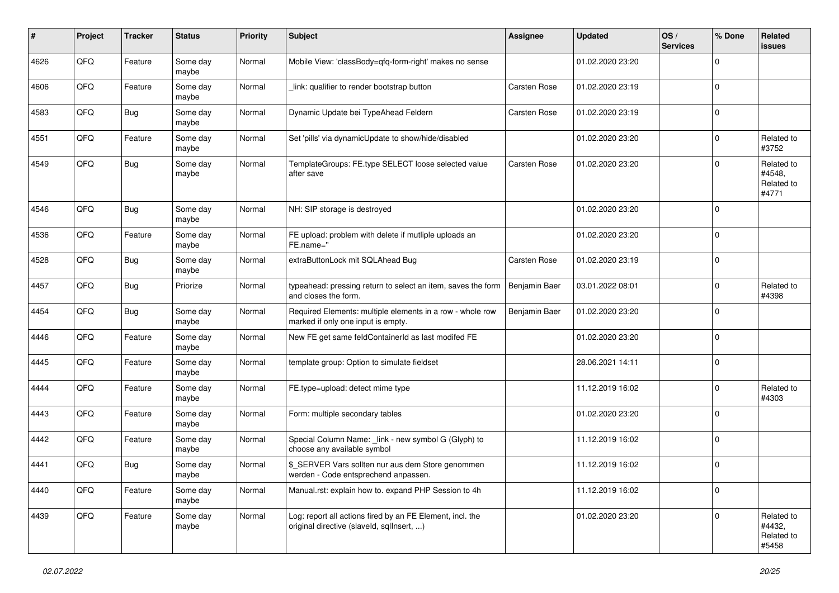| $\pmb{\#}$ | Project | <b>Tracker</b> | <b>Status</b>     | <b>Priority</b> | Subject                                                                                                | <b>Assignee</b> | <b>Updated</b>   | OS/<br><b>Services</b> | % Done      | Related<br><b>issues</b>                    |
|------------|---------|----------------|-------------------|-----------------|--------------------------------------------------------------------------------------------------------|-----------------|------------------|------------------------|-------------|---------------------------------------------|
| 4626       | QFQ     | Feature        | Some day<br>maybe | Normal          | Mobile View: 'classBody=qfq-form-right' makes no sense                                                 |                 | 01.02.2020 23:20 |                        | $\mathbf 0$ |                                             |
| 4606       | QFQ     | Feature        | Some day<br>maybe | Normal          | link: qualifier to render bootstrap button                                                             | Carsten Rose    | 01.02.2020 23:19 |                        | $\mathbf 0$ |                                             |
| 4583       | QFQ     | Bug            | Some day<br>maybe | Normal          | Dynamic Update bei TypeAhead Feldern                                                                   | Carsten Rose    | 01.02.2020 23:19 |                        | $\mathbf 0$ |                                             |
| 4551       | QFQ     | Feature        | Some day<br>maybe | Normal          | Set 'pills' via dynamicUpdate to show/hide/disabled                                                    |                 | 01.02.2020 23:20 |                        | $\mathbf 0$ | Related to<br>#3752                         |
| 4549       | QFQ     | <b>Bug</b>     | Some day<br>maybe | Normal          | TemplateGroups: FE.type SELECT loose selected value<br>after save                                      | Carsten Rose    | 01.02.2020 23:20 |                        | $\mathbf 0$ | Related to<br>#4548,<br>Related to<br>#4771 |
| 4546       | QFQ     | Bug            | Some day<br>maybe | Normal          | NH: SIP storage is destroyed                                                                           |                 | 01.02.2020 23:20 |                        | $\mathbf 0$ |                                             |
| 4536       | QFQ     | Feature        | Some day<br>maybe | Normal          | FE upload: problem with delete if mutliple uploads an<br>FE.name="                                     |                 | 01.02.2020 23:20 |                        | $\mathbf 0$ |                                             |
| 4528       | QFQ     | <b>Bug</b>     | Some day<br>maybe | Normal          | extraButtonLock mit SQLAhead Bug                                                                       | Carsten Rose    | 01.02.2020 23:19 |                        | $\mathbf 0$ |                                             |
| 4457       | QFQ     | Bug            | Priorize          | Normal          | typeahead: pressing return to select an item, saves the form<br>and closes the form.                   | Benjamin Baer   | 03.01.2022 08:01 |                        | $\mathbf 0$ | Related to<br>#4398                         |
| 4454       | QFQ     | Bug            | Some day<br>maybe | Normal          | Required Elements: multiple elements in a row - whole row<br>marked if only one input is empty.        | Benjamin Baer   | 01.02.2020 23:20 |                        | $\mathbf 0$ |                                             |
| 4446       | QFQ     | Feature        | Some day<br>maybe | Normal          | New FE get same feldContainerId as last modifed FE                                                     |                 | 01.02.2020 23:20 |                        | $\mathbf 0$ |                                             |
| 4445       | QFQ     | Feature        | Some day<br>maybe | Normal          | template group: Option to simulate fieldset                                                            |                 | 28.06.2021 14:11 |                        | $\mathbf 0$ |                                             |
| 4444       | QFQ     | Feature        | Some day<br>maybe | Normal          | FE.type=upload: detect mime type                                                                       |                 | 11.12.2019 16:02 |                        | $\mathbf 0$ | Related to<br>#4303                         |
| 4443       | QFQ     | Feature        | Some day<br>maybe | Normal          | Form: multiple secondary tables                                                                        |                 | 01.02.2020 23:20 |                        | $\mathbf 0$ |                                             |
| 4442       | QFQ     | Feature        | Some day<br>maybe | Normal          | Special Column Name: _link - new symbol G (Glyph) to<br>choose any available symbol                    |                 | 11.12.2019 16:02 |                        | $\mathbf 0$ |                                             |
| 4441       | QFQ     | Bug            | Some day<br>maybe | Normal          | \$ SERVER Vars sollten nur aus dem Store genommen<br>werden - Code entsprechend anpassen.              |                 | 11.12.2019 16:02 |                        | $\mathbf 0$ |                                             |
| 4440       | QFQ     | Feature        | Some day<br>maybe | Normal          | Manual.rst: explain how to. expand PHP Session to 4h                                                   |                 | 11.12.2019 16:02 |                        | $\mathbf 0$ |                                             |
| 4439       | QFQ     | Feature        | Some day<br>maybe | Normal          | Log: report all actions fired by an FE Element, incl. the<br>original directive (slaveld, sqllnsert, ) |                 | 01.02.2020 23:20 |                        | $\mathbf 0$ | Related to<br>#4432,<br>Related to<br>#5458 |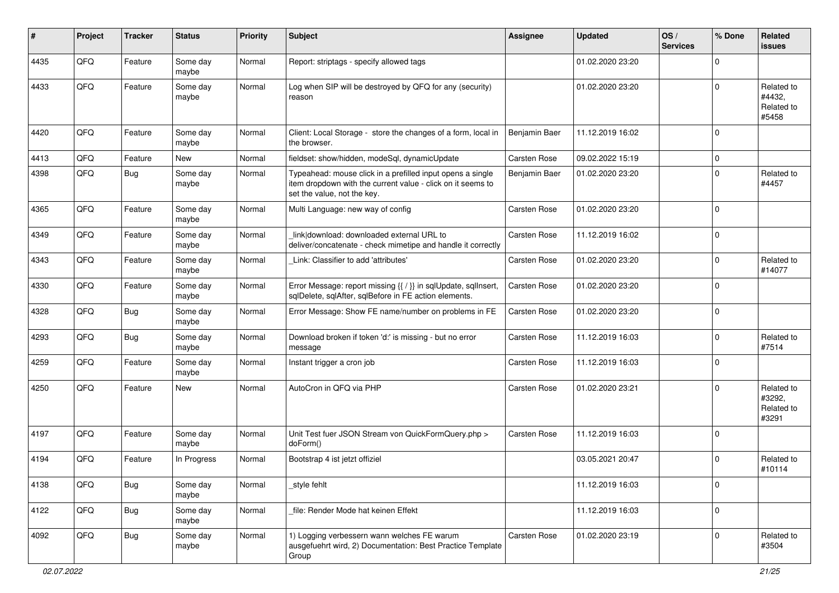| ∦    | Project | <b>Tracker</b> | <b>Status</b>     | <b>Priority</b> | <b>Subject</b>                                                                                                                                           | <b>Assignee</b> | <b>Updated</b>   | OS/<br><b>Services</b> | % Done      | Related<br><b>issues</b>                    |
|------|---------|----------------|-------------------|-----------------|----------------------------------------------------------------------------------------------------------------------------------------------------------|-----------------|------------------|------------------------|-------------|---------------------------------------------|
| 4435 | QFQ     | Feature        | Some day<br>maybe | Normal          | Report: striptags - specify allowed tags                                                                                                                 |                 | 01.02.2020 23:20 |                        | $\Omega$    |                                             |
| 4433 | QFQ     | Feature        | Some day<br>maybe | Normal          | Log when SIP will be destroyed by QFQ for any (security)<br>reason                                                                                       |                 | 01.02.2020 23:20 |                        | $\Omega$    | Related to<br>#4432,<br>Related to<br>#5458 |
| 4420 | QFQ     | Feature        | Some day<br>maybe | Normal          | Client: Local Storage - store the changes of a form, local in<br>the browser.                                                                            | Benjamin Baer   | 11.12.2019 16:02 |                        | $\Omega$    |                                             |
| 4413 | QFQ     | Feature        | New               | Normal          | fieldset: show/hidden, modeSql, dynamicUpdate                                                                                                            | Carsten Rose    | 09.02.2022 15:19 |                        | $\mathbf 0$ |                                             |
| 4398 | QFQ     | Bug            | Some day<br>maybe | Normal          | Typeahead: mouse click in a prefilled input opens a single<br>item dropdown with the current value - click on it seems to<br>set the value, not the key. | Benjamin Baer   | 01.02.2020 23:20 |                        | $\Omega$    | Related to<br>#4457                         |
| 4365 | QFQ     | Feature        | Some day<br>maybe | Normal          | Multi Language: new way of config                                                                                                                        | Carsten Rose    | 01.02.2020 23:20 |                        | $\Omega$    |                                             |
| 4349 | QFQ     | Feature        | Some day<br>maybe | Normal          | link download: downloaded external URL to<br>deliver/concatenate - check mimetipe and handle it correctly                                                | Carsten Rose    | 11.12.2019 16:02 |                        | $\Omega$    |                                             |
| 4343 | QFQ     | Feature        | Some day<br>maybe | Normal          | Link: Classifier to add 'attributes'                                                                                                                     | Carsten Rose    | 01.02.2020 23:20 |                        | $\Omega$    | Related to<br>#14077                        |
| 4330 | QFQ     | Feature        | Some day<br>maybe | Normal          | Error Message: report missing {{ / }} in sqlUpdate, sqlInsert,<br>sqlDelete, sqlAfter, sqlBefore in FE action elements.                                  | Carsten Rose    | 01.02.2020 23:20 |                        | $\Omega$    |                                             |
| 4328 | QFQ     | Bug            | Some day<br>maybe | Normal          | Error Message: Show FE name/number on problems in FE                                                                                                     | Carsten Rose    | 01.02.2020 23:20 |                        | $\mathbf 0$ |                                             |
| 4293 | QFQ     | <b>Bug</b>     | Some day<br>maybe | Normal          | Download broken if token 'd:' is missing - but no error<br>message                                                                                       | Carsten Rose    | 11.12.2019 16:03 |                        | $\mathbf 0$ | Related to<br>#7514                         |
| 4259 | QFQ     | Feature        | Some day<br>maybe | Normal          | Instant trigger a cron job                                                                                                                               | Carsten Rose    | 11.12.2019 16:03 |                        | 0           |                                             |
| 4250 | QFQ     | Feature        | New               | Normal          | AutoCron in QFQ via PHP                                                                                                                                  | Carsten Rose    | 01.02.2020 23:21 |                        | $\Omega$    | Related to<br>#3292,<br>Related to<br>#3291 |
| 4197 | QFQ     | Feature        | Some day<br>maybe | Normal          | Unit Test fuer JSON Stream von QuickFormQuery.php ><br>doForm()                                                                                          | Carsten Rose    | 11.12.2019 16:03 |                        | 0           |                                             |
| 4194 | QFQ     | Feature        | In Progress       | Normal          | Bootstrap 4 ist jetzt offiziel                                                                                                                           |                 | 03.05.2021 20:47 |                        | $\Omega$    | Related to<br>#10114                        |
| 4138 | QFQ     | Bug            | Some day<br>maybe | Normal          | _style fehlt                                                                                                                                             |                 | 11.12.2019 16:03 |                        | 0           |                                             |
| 4122 | QFQ     | <b>Bug</b>     | Some day<br>maybe | Normal          | file: Render Mode hat keinen Effekt                                                                                                                      |                 | 11.12.2019 16:03 |                        | 0           |                                             |
| 4092 | QFQ     | <b>Bug</b>     | Some day<br>maybe | Normal          | 1) Logging verbessern wann welches FE warum<br>ausgefuehrt wird, 2) Documentation: Best Practice Template<br>Group                                       | Carsten Rose    | 01.02.2020 23:19 |                        | $\mathbf 0$ | Related to<br>#3504                         |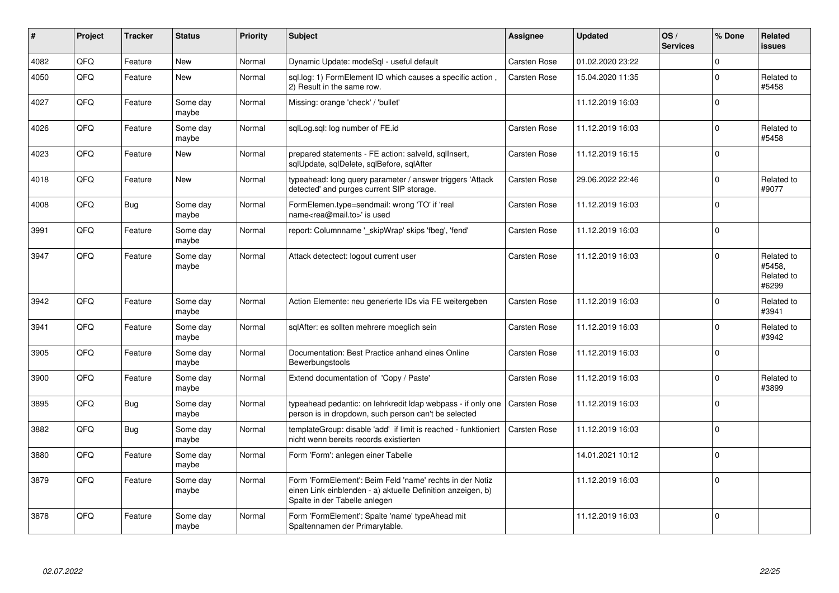| #    | Project | <b>Tracker</b> | <b>Status</b>     | <b>Priority</b> | <b>Subject</b>                                                                                                                                           | <b>Assignee</b>     | <b>Updated</b>   | OS/<br><b>Services</b> | % Done      | Related<br><b>issues</b>                    |
|------|---------|----------------|-------------------|-----------------|----------------------------------------------------------------------------------------------------------------------------------------------------------|---------------------|------------------|------------------------|-------------|---------------------------------------------|
| 4082 | QFQ     | Feature        | <b>New</b>        | Normal          | Dynamic Update: modeSql - useful default                                                                                                                 | <b>Carsten Rose</b> | 01.02.2020 23:22 |                        | $\mathbf 0$ |                                             |
| 4050 | QFQ     | Feature        | <b>New</b>        | Normal          | sql.log: 1) FormElement ID which causes a specific action,<br>2) Result in the same row.                                                                 | Carsten Rose        | 15.04.2020 11:35 |                        | $\Omega$    | Related to<br>#5458                         |
| 4027 | QFQ     | Feature        | Some day<br>maybe | Normal          | Missing: orange 'check' / 'bullet'                                                                                                                       |                     | 11.12.2019 16:03 |                        | $\Omega$    |                                             |
| 4026 | QFQ     | Feature        | Some day<br>maybe | Normal          | sqlLog.sql: log number of FE.id                                                                                                                          | Carsten Rose        | 11.12.2019 16:03 |                        | $\Omega$    | Related to<br>#5458                         |
| 4023 | QFQ     | Feature        | <b>New</b>        | Normal          | prepared statements - FE action: salveld, sqllnsert,<br>sqlUpdate, sqlDelete, sqlBefore, sqlAfter                                                        | <b>Carsten Rose</b> | 11.12.2019 16:15 |                        | $\Omega$    |                                             |
| 4018 | QFQ     | Feature        | <b>New</b>        | Normal          | typeahead: long query parameter / answer triggers 'Attack<br>detected' and purges current SIP storage.                                                   | Carsten Rose        | 29.06.2022 22:46 |                        | $\mathbf 0$ | Related to<br>#9077                         |
| 4008 | QFQ     | <b>Bug</b>     | Some day<br>maybe | Normal          | FormElemen.type=sendmail: wrong 'TO' if 'real<br>name <rea@mail.to>' is used</rea@mail.to>                                                               | <b>Carsten Rose</b> | 11.12.2019 16:03 |                        | $\Omega$    |                                             |
| 3991 | QFQ     | Feature        | Some day<br>maybe | Normal          | report: Columnname '_skipWrap' skips 'fbeg', 'fend'                                                                                                      | Carsten Rose        | 11.12.2019 16:03 |                        | $\Omega$    |                                             |
| 3947 | QFQ     | Feature        | Some day<br>maybe | Normal          | Attack detectect: logout current user                                                                                                                    | Carsten Rose        | 11.12.2019 16:03 |                        | $\mathbf 0$ | Related to<br>#5458,<br>Related to<br>#6299 |
| 3942 | QFQ     | Feature        | Some day<br>maybe | Normal          | Action Elemente: neu generierte IDs via FE weitergeben                                                                                                   | Carsten Rose        | 11.12.2019 16:03 |                        | $\mathbf 0$ | Related to<br>#3941                         |
| 3941 | QFQ     | Feature        | Some day<br>maybe | Normal          | sqlAfter: es sollten mehrere moeglich sein                                                                                                               | Carsten Rose        | 11.12.2019 16:03 |                        | $\Omega$    | Related to<br>#3942                         |
| 3905 | QFQ     | Feature        | Some day<br>maybe | Normal          | Documentation: Best Practice anhand eines Online<br>Bewerbungstools                                                                                      | Carsten Rose        | 11.12.2019 16:03 |                        | $\mathbf 0$ |                                             |
| 3900 | QFQ     | Feature        | Some day<br>maybe | Normal          | Extend documentation of 'Copy / Paste'                                                                                                                   | Carsten Rose        | 11.12.2019 16:03 |                        | $\mathbf 0$ | Related to<br>#3899                         |
| 3895 | QFQ     | Bug            | Some day<br>maybe | Normal          | typeahead pedantic: on lehrkredit Idap webpass - if only one<br>person is in dropdown, such person can't be selected                                     | <b>Carsten Rose</b> | 11.12.2019 16:03 |                        | $\mathbf 0$ |                                             |
| 3882 | QFQ     | <b>Bug</b>     | Some day<br>maybe | Normal          | templateGroup: disable 'add' if limit is reached - funktioniert<br>nicht wenn bereits records existierten                                                | <b>Carsten Rose</b> | 11.12.2019 16:03 |                        | $\Omega$    |                                             |
| 3880 | QFQ     | Feature        | Some day<br>maybe | Normal          | Form 'Form': anlegen einer Tabelle                                                                                                                       |                     | 14.01.2021 10:12 |                        | $\Omega$    |                                             |
| 3879 | QFQ     | Feature        | Some day<br>maybe | Normal          | Form 'FormElement': Beim Feld 'name' rechts in der Notiz<br>einen Link einblenden - a) aktuelle Definition anzeigen, b)<br>Spalte in der Tabelle anlegen |                     | 11.12.2019 16:03 |                        | $\Omega$    |                                             |
| 3878 | QFQ     | Feature        | Some day<br>maybe | Normal          | Form 'FormElement': Spalte 'name' typeAhead mit<br>Spaltennamen der Primarytable.                                                                        |                     | 11.12.2019 16:03 |                        | $\Omega$    |                                             |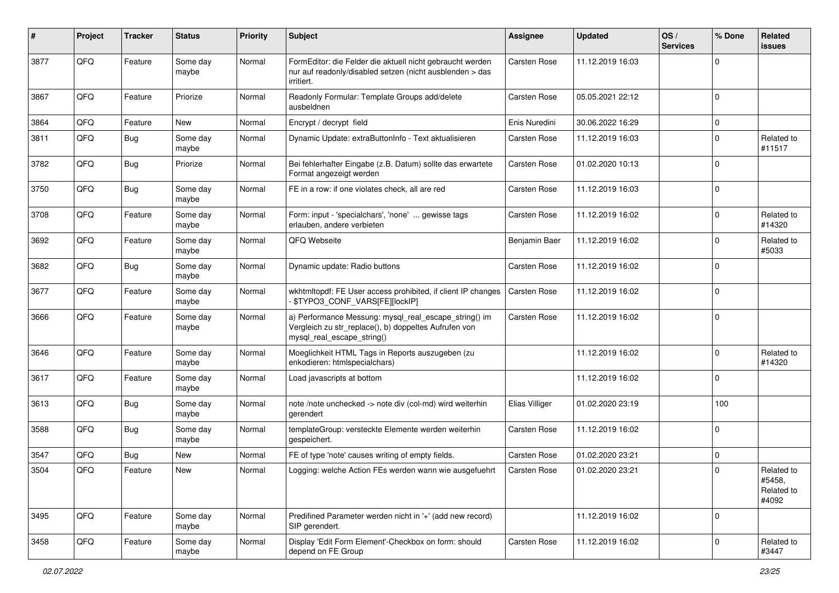| #    | Project | <b>Tracker</b> | <b>Status</b>     | <b>Priority</b> | Subject                                                                                                                                      | <b>Assignee</b>     | <b>Updated</b>   | OS/<br><b>Services</b> | % Done         | Related<br><b>issues</b>                    |
|------|---------|----------------|-------------------|-----------------|----------------------------------------------------------------------------------------------------------------------------------------------|---------------------|------------------|------------------------|----------------|---------------------------------------------|
| 3877 | QFQ     | Feature        | Some day<br>maybe | Normal          | FormEditor: die Felder die aktuell nicht gebraucht werden<br>nur auf readonly/disabled setzen (nicht ausblenden > das<br>irritiert.          | <b>Carsten Rose</b> | 11.12.2019 16:03 |                        | $\mathbf 0$    |                                             |
| 3867 | QFQ     | Feature        | Priorize          | Normal          | Readonly Formular: Template Groups add/delete<br>ausbeldnen                                                                                  | Carsten Rose        | 05.05.2021 22:12 |                        | $\mathbf 0$    |                                             |
| 3864 | QFQ     | Feature        | New               | Normal          | Encrypt / decrypt field                                                                                                                      | Enis Nuredini       | 30.06.2022 16:29 |                        | 0              |                                             |
| 3811 | QFQ     | Bug            | Some day<br>maybe | Normal          | Dynamic Update: extraButtonInfo - Text aktualisieren                                                                                         | Carsten Rose        | 11.12.2019 16:03 |                        | $\Omega$       | Related to<br>#11517                        |
| 3782 | QFQ     | Bug            | Priorize          | Normal          | Bei fehlerhafter Eingabe (z.B. Datum) sollte das erwartete<br>Format angezeigt werden                                                        | Carsten Rose        | 01.02.2020 10:13 |                        | $\Omega$       |                                             |
| 3750 | QFQ     | Bug            | Some day<br>maybe | Normal          | FE in a row: if one violates check, all are red                                                                                              | Carsten Rose        | 11.12.2019 16:03 |                        | $\Omega$       |                                             |
| 3708 | QFQ     | Feature        | Some day<br>maybe | Normal          | Form: input - 'specialchars', 'none'  gewisse tags<br>erlauben, andere verbieten                                                             | Carsten Rose        | 11.12.2019 16:02 |                        | $\Omega$       | Related to<br>#14320                        |
| 3692 | QFQ     | Feature        | Some day<br>maybe | Normal          | QFQ Webseite                                                                                                                                 | Benjamin Baer       | 11.12.2019 16:02 |                        | $\mathbf 0$    | Related to<br>#5033                         |
| 3682 | QFQ     | <b>Bug</b>     | Some day<br>maybe | Normal          | Dynamic update: Radio buttons                                                                                                                | Carsten Rose        | 11.12.2019 16:02 |                        | $\mathbf 0$    |                                             |
| 3677 | QFQ     | Feature        | Some day<br>maybe | Normal          | wkhtmltopdf: FE User access prohibited, if client IP changes<br>- \$TYPO3_CONF_VARS[FE][lockIP]                                              | Carsten Rose        | 11.12.2019 16:02 |                        | $\Omega$       |                                             |
| 3666 | QFQ     | Feature        | Some day<br>maybe | Normal          | a) Performance Messung: mysql_real_escape_string() im<br>Vergleich zu str_replace(), b) doppeltes Aufrufen von<br>mysql_real_escape_string() | <b>Carsten Rose</b> | 11.12.2019 16:02 |                        | $\mathbf 0$    |                                             |
| 3646 | QFQ     | Feature        | Some day<br>maybe | Normal          | Moeglichkeit HTML Tags in Reports auszugeben (zu<br>enkodieren: htmlspecialchars)                                                            |                     | 11.12.2019 16:02 |                        | $\mathbf 0$    | Related to<br>#14320                        |
| 3617 | QFQ     | Feature        | Some day<br>maybe | Normal          | Load javascripts at bottom                                                                                                                   |                     | 11.12.2019 16:02 |                        | $\Omega$       |                                             |
| 3613 | QFQ     | <b>Bug</b>     | Some day<br>maybe | Normal          | note /note unchecked -> note div (col-md) wird weiterhin<br>gerendert                                                                        | Elias Villiger      | 01.02.2020 23:19 |                        | 100            |                                             |
| 3588 | QFQ     | Bug            | Some day<br>maybe | Normal          | templateGroup: versteckte Elemente werden weiterhin<br>gespeichert.                                                                          | Carsten Rose        | 11.12.2019 16:02 |                        | $\Omega$       |                                             |
| 3547 | QFQ     | <b>Bug</b>     | <b>New</b>        | Normal          | FE of type 'note' causes writing of empty fields.                                                                                            | Carsten Rose        | 01.02.2020 23:21 |                        | $\mathbf 0$    |                                             |
| 3504 | QFQ     | Feature        | New               | Normal          | Logging: welche Action FEs werden wann wie ausgefuehrt                                                                                       | <b>Carsten Rose</b> | 01.02.2020 23:21 |                        | $\overline{0}$ | Related to<br>#5458,<br>Related to<br>#4092 |
| 3495 | QFQ     | Feature        | Some day<br>maybe | Normal          | Predifined Parameter werden nicht in '+' (add new record)<br>SIP gerendert.                                                                  |                     | 11.12.2019 16:02 |                        | 0              |                                             |
| 3458 | QFQ     | Feature        | Some day<br>maybe | Normal          | Display 'Edit Form Element'-Checkbox on form: should<br>depend on FE Group                                                                   | Carsten Rose        | 11.12.2019 16:02 |                        | $\mathbf 0$    | Related to<br>#3447                         |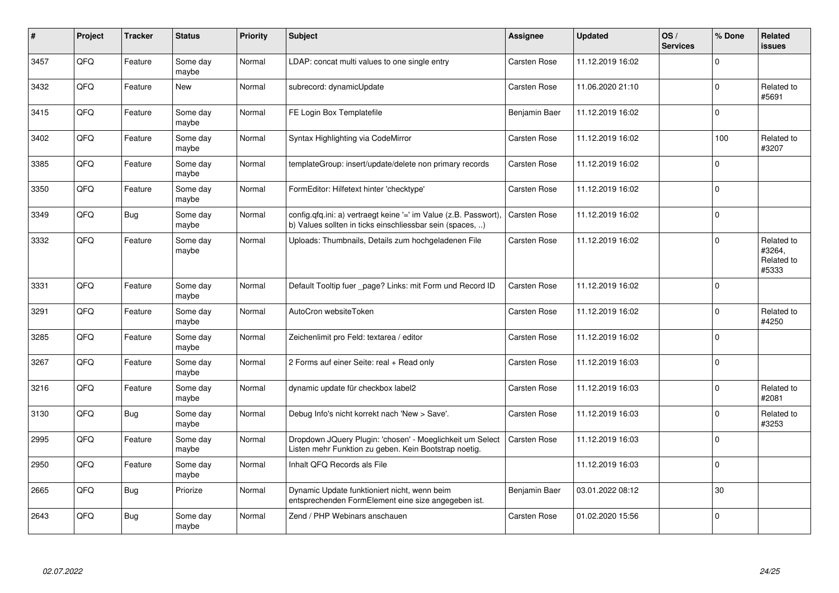| #    | Project | <b>Tracker</b> | <b>Status</b>     | <b>Priority</b> | <b>Subject</b>                                                                                                                | <b>Assignee</b> | <b>Updated</b>   | OS/<br><b>Services</b> | % Done         | Related<br><b>issues</b>                    |
|------|---------|----------------|-------------------|-----------------|-------------------------------------------------------------------------------------------------------------------------------|-----------------|------------------|------------------------|----------------|---------------------------------------------|
| 3457 | QFQ     | Feature        | Some day<br>maybe | Normal          | LDAP: concat multi values to one single entry                                                                                 | Carsten Rose    | 11.12.2019 16:02 |                        | $\Omega$       |                                             |
| 3432 | QFQ     | Feature        | New               | Normal          | subrecord: dynamicUpdate                                                                                                      | Carsten Rose    | 11.06.2020 21:10 |                        | $\mathbf 0$    | Related to<br>#5691                         |
| 3415 | QFQ     | Feature        | Some day<br>maybe | Normal          | FE Login Box Templatefile                                                                                                     | Benjamin Baer   | 11.12.2019 16:02 |                        | $\mathbf 0$    |                                             |
| 3402 | QFQ     | Feature        | Some day<br>maybe | Normal          | Syntax Highlighting via CodeMirror                                                                                            | Carsten Rose    | 11.12.2019 16:02 |                        | 100            | Related to<br>#3207                         |
| 3385 | QFQ     | Feature        | Some day<br>maybe | Normal          | templateGroup: insert/update/delete non primary records                                                                       | Carsten Rose    | 11.12.2019 16:02 |                        | $\Omega$       |                                             |
| 3350 | QFQ     | Feature        | Some day<br>maybe | Normal          | FormEditor: Hilfetext hinter 'checktype'                                                                                      | Carsten Rose    | 11.12.2019 16:02 |                        | $\overline{0}$ |                                             |
| 3349 | QFQ     | <b>Bug</b>     | Some day<br>maybe | Normal          | config.qfq.ini: a) vertraegt keine '=' im Value (z.B. Passwort),<br>b) Values sollten in ticks einschliessbar sein (spaces, ) | Carsten Rose    | 11.12.2019 16:02 |                        | $\overline{0}$ |                                             |
| 3332 | QFQ     | Feature        | Some day<br>maybe | Normal          | Uploads: Thumbnails, Details zum hochgeladenen File                                                                           | Carsten Rose    | 11.12.2019 16:02 |                        | $\mathbf 0$    | Related to<br>#3264,<br>Related to<br>#5333 |
| 3331 | QFQ     | Feature        | Some day<br>maybe | Normal          | Default Tooltip fuer _page? Links: mit Form und Record ID                                                                     | Carsten Rose    | 11.12.2019 16:02 |                        | $\overline{0}$ |                                             |
| 3291 | QFQ     | Feature        | Some day<br>maybe | Normal          | AutoCron websiteToken                                                                                                         | Carsten Rose    | 11.12.2019 16:02 |                        | $\Omega$       | Related to<br>#4250                         |
| 3285 | QFQ     | Feature        | Some day<br>maybe | Normal          | Zeichenlimit pro Feld: textarea / editor                                                                                      | Carsten Rose    | 11.12.2019 16:02 |                        | 0              |                                             |
| 3267 | QFQ     | Feature        | Some day<br>maybe | Normal          | 2 Forms auf einer Seite: real + Read only                                                                                     | Carsten Rose    | 11.12.2019 16:03 |                        | $\mathbf 0$    |                                             |
| 3216 | QFQ     | Feature        | Some day<br>maybe | Normal          | dynamic update für checkbox label2                                                                                            | Carsten Rose    | 11.12.2019 16:03 |                        | $\Omega$       | Related to<br>#2081                         |
| 3130 | QFQ     | <b>Bug</b>     | Some day<br>maybe | Normal          | Debug Info's nicht korrekt nach 'New > Save'.                                                                                 | Carsten Rose    | 11.12.2019 16:03 |                        | $\Omega$       | Related to<br>#3253                         |
| 2995 | QFQ     | Feature        | Some day<br>maybe | Normal          | Dropdown JQuery Plugin: 'chosen' - Moeglichkeit um Select<br>Listen mehr Funktion zu geben. Kein Bootstrap noetig.            | Carsten Rose    | 11.12.2019 16:03 |                        | $\Omega$       |                                             |
| 2950 | QFQ     | Feature        | Some day<br>maybe | Normal          | Inhalt QFQ Records als File                                                                                                   |                 | 11.12.2019 16:03 |                        | $\mathbf 0$    |                                             |
| 2665 | QFQ     | <b>Bug</b>     | Priorize          | Normal          | Dynamic Update funktioniert nicht, wenn beim<br>entsprechenden FormElement eine size angegeben ist.                           | Benjamin Baer   | 03.01.2022 08:12 |                        | 30             |                                             |
| 2643 | QFQ     | <b>Bug</b>     | Some day<br>maybe | Normal          | Zend / PHP Webinars anschauen                                                                                                 | Carsten Rose    | 01.02.2020 15:56 |                        | $\mathbf 0$    |                                             |